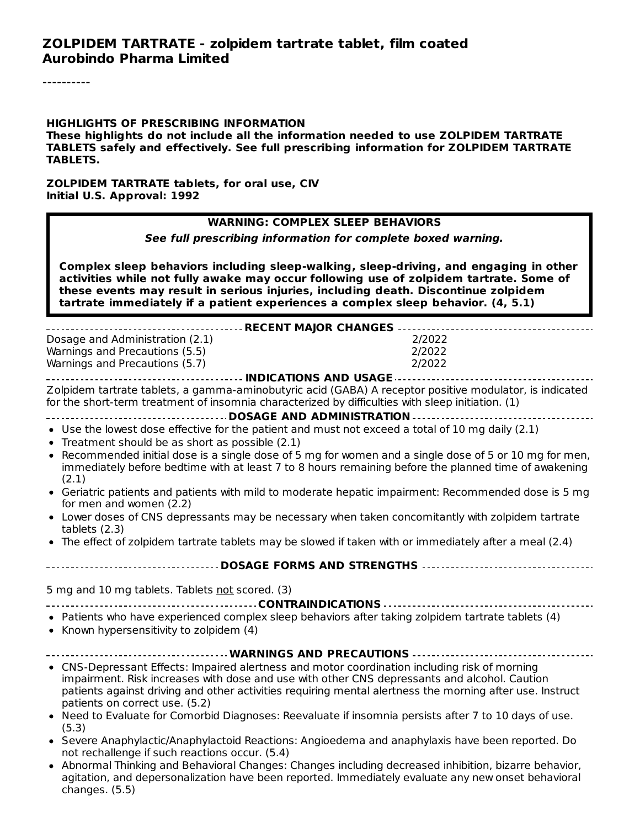#### **HIGHLIGHTS OF PRESCRIBING INFORMATION**

**These highlights do not include all the information needed to use ZOLPIDEM TARTRATE TABLETS safely and effectively. See full prescribing information for ZOLPIDEM TARTRATE TABLETS.**

#### **ZOLPIDEM TARTRATE tablets, for oral use, CIV Initial U.S. Approval: 1992**

#### **WARNING: COMPLEX SLEEP BEHAVIORS**

**See full prescribing information for complete boxed warning.**

**Complex sleep behaviors including sleep-walking, sleep-driving, and engaging in other activities while not fully awake may occur following use of zolpidem tartrate. Some of these events may result in serious injuries, including death. Discontinue zolpidem tartrate immediately if a patient experiences a complex sleep behavior. (4, 5.1)**

| Dosage and Administration (2.1)<br>Warnings and Precautions (5.5)<br>Warnings and Precautions (5.7)                                                                                                                                                                                                                                                                                                                                                                                                                                                                                                                                                                                                                                                 | 2/2022<br>2/2022<br>2/2022 |  |
|-----------------------------------------------------------------------------------------------------------------------------------------------------------------------------------------------------------------------------------------------------------------------------------------------------------------------------------------------------------------------------------------------------------------------------------------------------------------------------------------------------------------------------------------------------------------------------------------------------------------------------------------------------------------------------------------------------------------------------------------------------|----------------------------|--|
| Zolpidem tartrate tablets, a gamma-aminobutyric acid (GABA) A receptor positive modulator, is indicated<br>for the short-term treatment of insomnia characterized by difficulties with sleep initiation. (1)                                                                                                                                                                                                                                                                                                                                                                                                                                                                                                                                        |                            |  |
| • Use the lowest dose effective for the patient and must not exceed a total of 10 mg daily (2.1)<br>• Treatment should be as short as possible $(2.1)$<br>Recommended initial dose is a single dose of 5 mg for women and a single dose of 5 or 10 mg for men,<br>immediately before bedtime with at least 7 to 8 hours remaining before the planned time of awakening<br>(2.1)<br>Geriatric patients and patients with mild to moderate hepatic impairment: Recommended dose is 5 mg<br>for men and women (2.2)<br>• Lower doses of CNS depressants may be necessary when taken concomitantly with zolpidem tartrate<br>tablets $(2.3)$<br>• The effect of zolpidem tartrate tablets may be slowed if taken with or immediately after a meal (2.4) |                            |  |
| -------------------------------- DOSAGE FORMS AND STRENGTHS ----------------------------------                                                                                                                                                                                                                                                                                                                                                                                                                                                                                                                                                                                                                                                      |                            |  |
| 5 mg and 10 mg tablets. Tablets not scored. (3)                                                                                                                                                                                                                                                                                                                                                                                                                                                                                                                                                                                                                                                                                                     |                            |  |
| • Patients who have experienced complex sleep behaviors after taking zolpidem tartrate tablets (4)<br>• Known hypersensitivity to zolpidem (4)                                                                                                                                                                                                                                                                                                                                                                                                                                                                                                                                                                                                      |                            |  |
|                                                                                                                                                                                                                                                                                                                                                                                                                                                                                                                                                                                                                                                                                                                                                     |                            |  |
| • CNS-Depressant Effects: Impaired alertness and motor coordination including risk of morning<br>impairment. Risk increases with dose and use with other CNS depressants and alcohol. Caution<br>patients against driving and other activities requiring mental alertness the morning after use. Instruct<br>patients on correct use. (5.2)<br>. Need to Evaluate for Comorbid Diagnoses: Reevaluate if insomnia persists after 7 to 10 days of use.<br>(5.3)<br>• Severe Anaphylactic/Anaphylactoid Reactions: Angioedema and anaphylaxis have been reported. Do<br>not rechallenge if such reactions occur. (5.4)<br>Abnormal Thinking and Rehavioral Changes: Changes including decreased inhibition hizarre hebavior                            |                            |  |

Abnormal Thinking and Behavioral Changes: Changes including decreased inhibition, bizarre behavior, agitation, and depersonalization have been reported. Immediately evaluate any new onset behavioral changes. (5.5)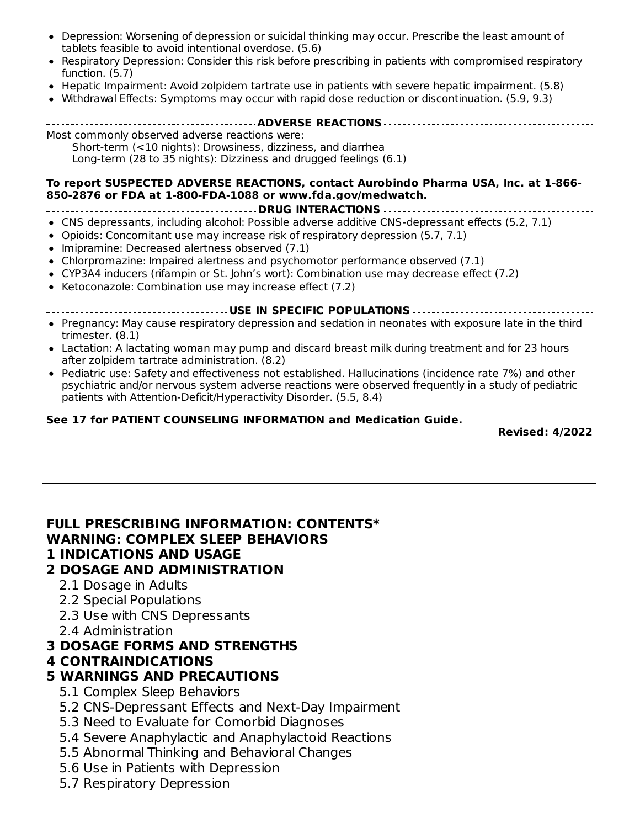- Depression: Worsening of depression or suicidal thinking may occur. Prescribe the least amount of tablets feasible to avoid intentional overdose. (5.6)
- $\bullet$ Respiratory Depression: Consider this risk before prescribing in patients with compromised respiratory function. (5.7)
- Hepatic Impairment: Avoid zolpidem tartrate use in patients with severe hepatic impairment. (5.8)
- Withdrawal Effects: Symptoms may occur with rapid dose reduction or discontinuation. (5.9, 9.3)

**ADVERSE REACTIONS**

Most commonly observed adverse reactions were: Short-term (<10 nights): Drowsiness, dizziness, and diarrhea Long-term (28 to 35 nights): Dizziness and drugged feelings (6.1)

#### **To report SUSPECTED ADVERSE REACTIONS, contact Aurobindo Pharma USA, Inc. at 1-866- 850-2876 or FDA at 1-800-FDA-1088 or www.fda.gov/medwatch.**

- **DRUG INTERACTIONS**
- CNS depressants, including alcohol: Possible adverse additive CNS-depressant effects (5.2, 7.1)
- Opioids: Concomitant use may increase risk of respiratory depression (5.7, 7.1)
- Imipramine: Decreased alertness observed (7.1)
- Chlorpromazine: Impaired alertness and psychomotor performance observed (7.1)
- CYP3A4 inducers (rifampin or St. John's wort): Combination use may decrease effect (7.2)
- Ketoconazole: Combination use may increase effect (7.2)

**USE IN SPECIFIC POPULATIONS**

- Pregnancy: May cause respiratory depression and sedation in neonates with exposure late in the third trimester. (8.1)
- Lactation: A lactating woman may pump and discard breast milk during treatment and for 23 hours after zolpidem tartrate administration. (8.2)
- Pediatric use: Safety and effectiveness not established. Hallucinations (incidence rate 7%) and other psychiatric and/or nervous system adverse reactions were observed frequently in a study of pediatric patients with Attention-Deficit/Hyperactivity Disorder. (5.5, 8.4)

#### **See 17 for PATIENT COUNSELING INFORMATION and Medication Guide.**

**Revised: 4/2022**

# **FULL PRESCRIBING INFORMATION: CONTENTS\* WARNING: COMPLEX SLEEP BEHAVIORS**

#### **1 INDICATIONS AND USAGE**

#### **2 DOSAGE AND ADMINISTRATION**

- 2.1 Dosage in Adults
- 2.2 Special Populations
- 2.3 Use with CNS Depressants
- 2.4 Administration

#### **3 DOSAGE FORMS AND STRENGTHS**

#### **4 CONTRAINDICATIONS**

#### **5 WARNINGS AND PRECAUTIONS**

- 5.1 Complex Sleep Behaviors
- 5.2 CNS-Depressant Effects and Next-Day Impairment
- 5.3 Need to Evaluate for Comorbid Diagnoses
- 5.4 Severe Anaphylactic and Anaphylactoid Reactions
- 5.5 Abnormal Thinking and Behavioral Changes
- 5.6 Use in Patients with Depression
- 5.7 Respiratory Depression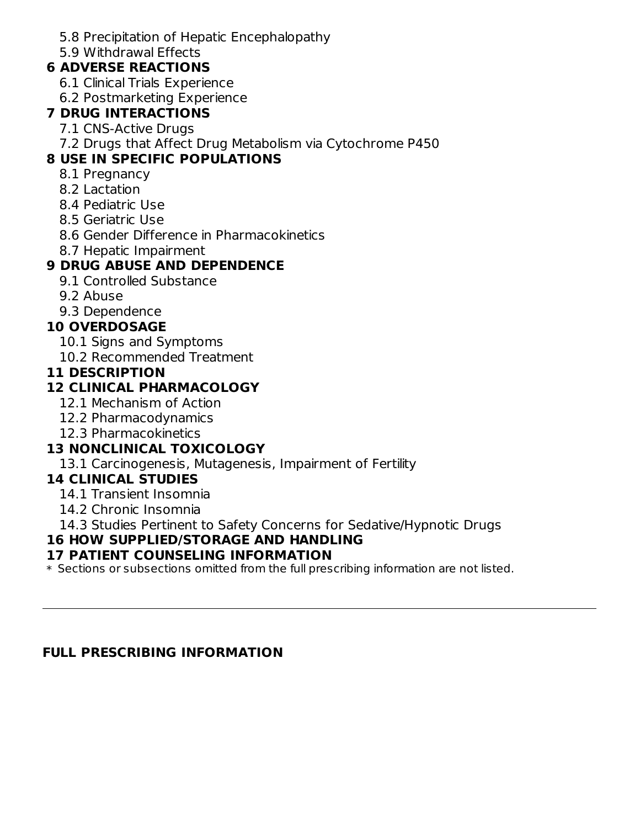5.8 Precipitation of Hepatic Encephalopathy

5.9 Withdrawal Effects

# **6 ADVERSE REACTIONS**

- 6.1 Clinical Trials Experience
- 6.2 Postmarketing Experience

# **7 DRUG INTERACTIONS**

- 7.1 CNS-Active Drugs
- 7.2 Drugs that Affect Drug Metabolism via Cytochrome P450

# **8 USE IN SPECIFIC POPULATIONS**

- 8.1 Pregnancy
- 8.2 Lactation
- 8.4 Pediatric Use
- 8.5 Geriatric Use
- 8.6 Gender Difference in Pharmacokinetics
- 8.7 Hepatic Impairment

# **9 DRUG ABUSE AND DEPENDENCE**

- 9.1 Controlled Substance
- 9.2 Abuse
- 9.3 Dependence

# **10 OVERDOSAGE**

- 10.1 Signs and Symptoms
- 10.2 Recommended Treatment

# **11 DESCRIPTION**

# **12 CLINICAL PHARMACOLOGY**

- 12.1 Mechanism of Action
- 12.2 Pharmacodynamics
- 12.3 Pharmacokinetics

# **13 NONCLINICAL TOXICOLOGY**

13.1 Carcinogenesis, Mutagenesis, Impairment of Fertility

# **14 CLINICAL STUDIES**

- 14.1 Transient Insomnia
- 14.2 Chronic Insomnia

14.3 Studies Pertinent to Safety Concerns for Sedative/Hypnotic Drugs

# **16 HOW SUPPLIED/STORAGE AND HANDLING**

# **17 PATIENT COUNSELING INFORMATION**

 $\ast$  Sections or subsections omitted from the full prescribing information are not listed.

# **FULL PRESCRIBING INFORMATION**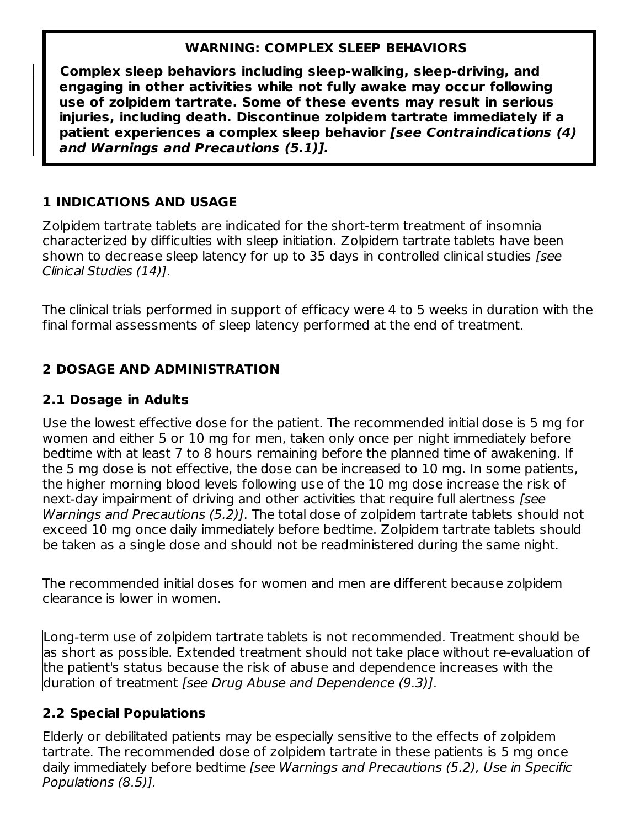### **WARNING: COMPLEX SLEEP BEHAVIORS**

**Complex sleep behaviors including sleep-walking, sleep-driving, and engaging in other activities while not fully awake may occur following use of zolpidem tartrate. Some of these events may result in serious injuries, including death. Discontinue zolpidem tartrate immediately if a patient experiences a complex sleep behavior [see Contraindications (4) and Warnings and Precautions (5.1)].**

# **1 INDICATIONS AND USAGE**

Zolpidem tartrate tablets are indicated for the short-term treatment of insomnia characterized by difficulties with sleep initiation. Zolpidem tartrate tablets have been shown to decrease sleep latency for up to 35 days in controlled clinical studies (see Clinical Studies (14)].

The clinical trials performed in support of efficacy were 4 to 5 weeks in duration with the final formal assessments of sleep latency performed at the end of treatment.

# **2 DOSAGE AND ADMINISTRATION**

# **2.1 Dosage in Adults**

Use the lowest effective dose for the patient. The recommended initial dose is 5 mg for women and either 5 or 10 mg for men, taken only once per night immediately before bedtime with at least 7 to 8 hours remaining before the planned time of awakening. If the 5 mg dose is not effective, the dose can be increased to 10 mg. In some patients, the higher morning blood levels following use of the 10 mg dose increase the risk of next-day impairment of driving and other activities that require full alertness [see Warnings and Precautions (5.2)]. The total dose of zolpidem tartrate tablets should not exceed 10 mg once daily immediately before bedtime. Zolpidem tartrate tablets should be taken as a single dose and should not be readministered during the same night.

The recommended initial doses for women and men are different because zolpidem clearance is lower in women.

Long-term use of zolpidem tartrate tablets is not recommended. Treatment should be as short as possible. Extended treatment should not take place without re-evaluation of the patient's status because the risk of abuse and dependence increases with the duration of treatment [see Drug Abuse and Dependence (9.3)].

# **2.2 Special Populations**

Elderly or debilitated patients may be especially sensitive to the effects of zolpidem tartrate. The recommended dose of zolpidem tartrate in these patients is 5 mg once daily immediately before bedtime [see Warnings and Precautions (5.2), Use in Specific Populations (8.5)].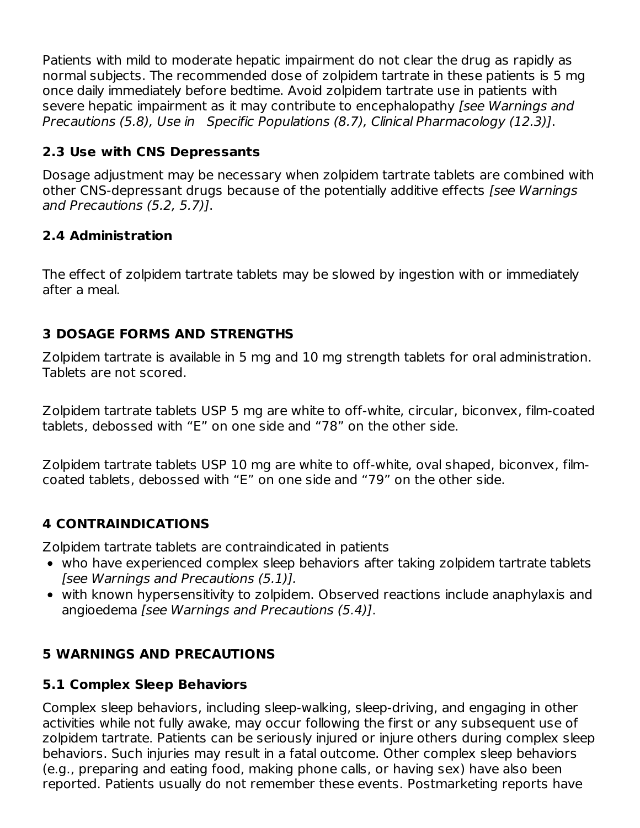Patients with mild to moderate hepatic impairment do not clear the drug as rapidly as normal subjects. The recommended dose of zolpidem tartrate in these patients is 5 mg once daily immediately before bedtime. Avoid zolpidem tartrate use in patients with severe hepatic impairment as it may contribute to encephalopathy (see Warnings and Precautions (5.8), Use in Specific Populations (8.7), Clinical Pharmacology (12.3)].

# **2.3 Use with CNS Depressants**

Dosage adjustment may be necessary when zolpidem tartrate tablets are combined with other CNS-depressant drugs because of the potentially additive effects [see Warnings] and Precautions (5.2, 5.7)].

# **2.4 Administration**

The effect of zolpidem tartrate tablets may be slowed by ingestion with or immediately after a meal.

# **3 DOSAGE FORMS AND STRENGTHS**

Zolpidem tartrate is available in 5 mg and 10 mg strength tablets for oral administration. Tablets are not scored.

Zolpidem tartrate tablets USP 5 mg are white to off-white, circular, biconvex, film-coated tablets, debossed with "E" on one side and "78" on the other side.

Zolpidem tartrate tablets USP 10 mg are white to off-white, oval shaped, biconvex, filmcoated tablets, debossed with "E" on one side and "79" on the other side.

# **4 CONTRAINDICATIONS**

Zolpidem tartrate tablets are contraindicated in patients

- who have experienced complex sleep behaviors after taking zolpidem tartrate tablets [see Warnings and Precautions (5.1)].
- with known hypersensitivity to zolpidem. Observed reactions include anaphylaxis and angioedema [see Warnings and Precautions (5.4)].

# **5 WARNINGS AND PRECAUTIONS**

# **5.1 Complex Sleep Behaviors**

Complex sleep behaviors, including sleep-walking, sleep-driving, and engaging in other activities while not fully awake, may occur following the first or any subsequent use of zolpidem tartrate. Patients can be seriously injured or injure others during complex sleep behaviors. Such injuries may result in a fatal outcome. Other complex sleep behaviors (e.g., preparing and eating food, making phone calls, or having sex) have also been reported. Patients usually do not remember these events. Postmarketing reports have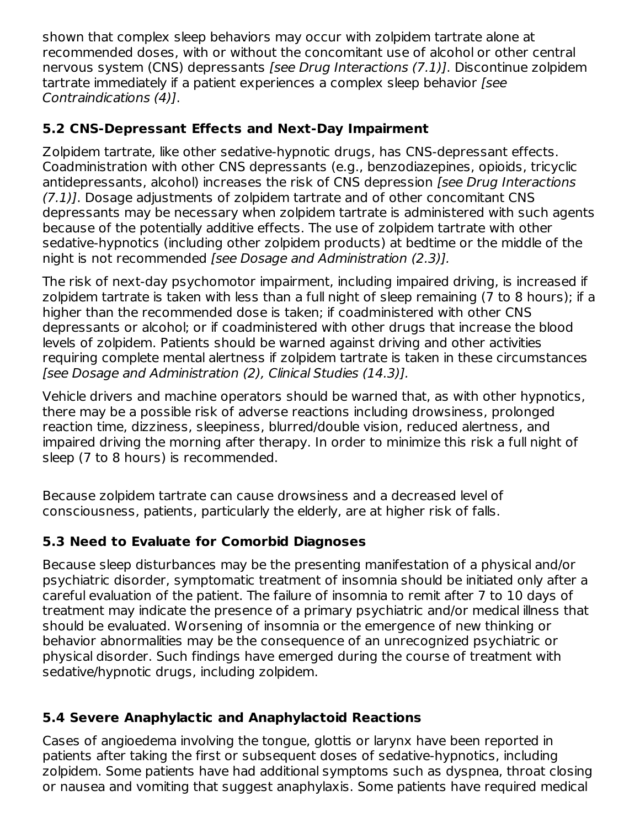shown that complex sleep behaviors may occur with zolpidem tartrate alone at recommended doses, with or without the concomitant use of alcohol or other central nervous system (CNS) depressants [see Drug Interactions (7.1)]. Discontinue zolpidem tartrate immediately if a patient experiences a complex sleep behavior [see Contraindications (4)].

# **5.2 CNS-Depressant Effects and Next-Day Impairment**

Zolpidem tartrate, like other sedative-hypnotic drugs, has CNS-depressant effects. Coadministration with other CNS depressants (e.g., benzodiazepines, opioids, tricyclic antidepressants, alcohol) increases the risk of CNS depression [see Drug Interactions (7.1)]. Dosage adjustments of zolpidem tartrate and of other concomitant CNS depressants may be necessary when zolpidem tartrate is administered with such agents because of the potentially additive effects. The use of zolpidem tartrate with other sedative-hypnotics (including other zolpidem products) at bedtime or the middle of the night is not recommended [see Dosage and Administration (2.3)].

The risk of next-day psychomotor impairment, including impaired driving, is increased if zolpidem tartrate is taken with less than a full night of sleep remaining (7 to 8 hours); if a higher than the recommended dose is taken; if coadministered with other CNS depressants or alcohol; or if coadministered with other drugs that increase the blood levels of zolpidem. Patients should be warned against driving and other activities requiring complete mental alertness if zolpidem tartrate is taken in these circumstances [see Dosage and Administration (2), Clinical Studies (14.3)].

Vehicle drivers and machine operators should be warned that, as with other hypnotics, there may be a possible risk of adverse reactions including drowsiness, prolonged reaction time, dizziness, sleepiness, blurred/double vision, reduced alertness, and impaired driving the morning after therapy. In order to minimize this risk a full night of sleep (7 to 8 hours) is recommended.

Because zolpidem tartrate can cause drowsiness and a decreased level of consciousness, patients, particularly the elderly, are at higher risk of falls.

# **5.3 Need to Evaluate for Comorbid Diagnoses**

Because sleep disturbances may be the presenting manifestation of a physical and/or psychiatric disorder, symptomatic treatment of insomnia should be initiated only after a careful evaluation of the patient. The failure of insomnia to remit after 7 to 10 days of treatment may indicate the presence of a primary psychiatric and/or medical illness that should be evaluated. Worsening of insomnia or the emergence of new thinking or behavior abnormalities may be the consequence of an unrecognized psychiatric or physical disorder. Such findings have emerged during the course of treatment with sedative/hypnotic drugs, including zolpidem.

# **5.4 Severe Anaphylactic and Anaphylactoid Reactions**

Cases of angioedema involving the tongue, glottis or larynx have been reported in patients after taking the first or subsequent doses of sedative-hypnotics, including zolpidem. Some patients have had additional symptoms such as dyspnea, throat closing or nausea and vomiting that suggest anaphylaxis. Some patients have required medical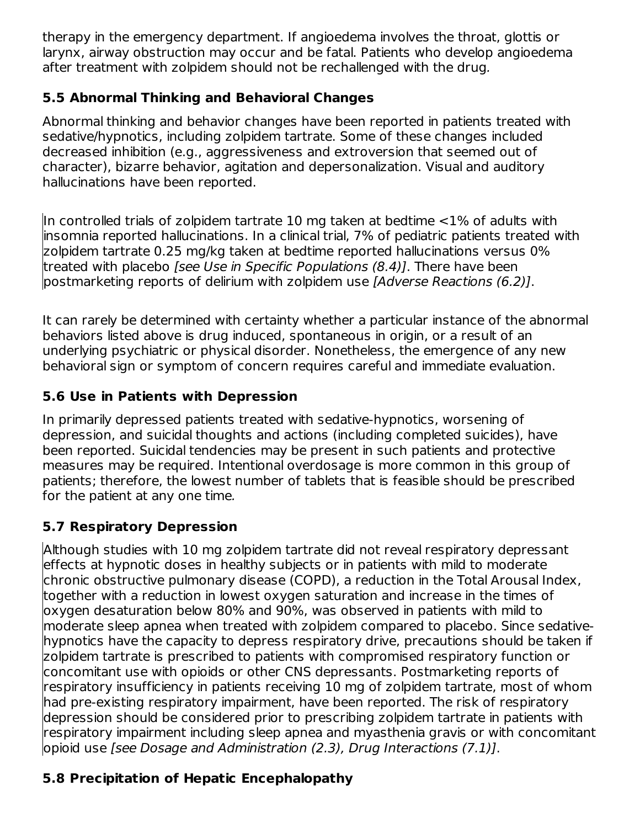therapy in the emergency department. If angioedema involves the throat, glottis or larynx, airway obstruction may occur and be fatal. Patients who develop angioedema after treatment with zolpidem should not be rechallenged with the drug.

# **5.5 Abnormal Thinking and Behavioral Changes**

Abnormal thinking and behavior changes have been reported in patients treated with sedative/hypnotics, including zolpidem tartrate. Some of these changes included decreased inhibition (e.g., aggressiveness and extroversion that seemed out of character), bizarre behavior, agitation and depersonalization. Visual and auditory hallucinations have been reported.

In controlled trials of zolpidem tartrate 10 mg taken at bedtime <1% of adults with insomnia reported hallucinations. In a clinical trial, 7% of pediatric patients treated with zolpidem tartrate 0.25 mg/kg taken at bedtime reported hallucinations versus 0% treated with placebo [see Use in Specific Populations (8.4)]. There have been postmarketing reports of delirium with zolpidem use [Adverse Reactions (6.2)].

It can rarely be determined with certainty whether a particular instance of the abnormal behaviors listed above is drug induced, spontaneous in origin, or a result of an underlying psychiatric or physical disorder. Nonetheless, the emergence of any new behavioral sign or symptom of concern requires careful and immediate evaluation.

# **5.6 Use in Patients with Depression**

In primarily depressed patients treated with sedative-hypnotics, worsening of depression, and suicidal thoughts and actions (including completed suicides), have been reported. Suicidal tendencies may be present in such patients and protective measures may be required. Intentional overdosage is more common in this group of patients; therefore, the lowest number of tablets that is feasible should be prescribed for the patient at any one time.

# **5.7 Respiratory Depression**

Although studies with 10 mg zolpidem tartrate did not reveal respiratory depressant effects at hypnotic doses in healthy subjects or in patients with mild to moderate chronic obstructive pulmonary disease (COPD), a reduction in the Total Arousal Index, together with a reduction in lowest oxygen saturation and increase in the times of oxygen desaturation below 80% and 90%, was observed in patients with mild to moderate sleep apnea when treated with zolpidem compared to placebo. Since sedativehypnotics have the capacity to depress respiratory drive, precautions should be taken if zolpidem tartrate is prescribed to patients with compromised respiratory function or concomitant use with opioids or other CNS depressants. Postmarketing reports of respiratory insufficiency in patients receiving 10 mg of zolpidem tartrate, most of whom had pre-existing respiratory impairment, have been reported. The risk of respiratory depression should be considered prior to prescribing zolpidem tartrate in patients with respiratory impairment including sleep apnea and myasthenia gravis or with concomitant opioid use [see Dosage and Administration (2.3), Drug Interactions (7.1)].

# **5.8 Precipitation of Hepatic Encephalopathy**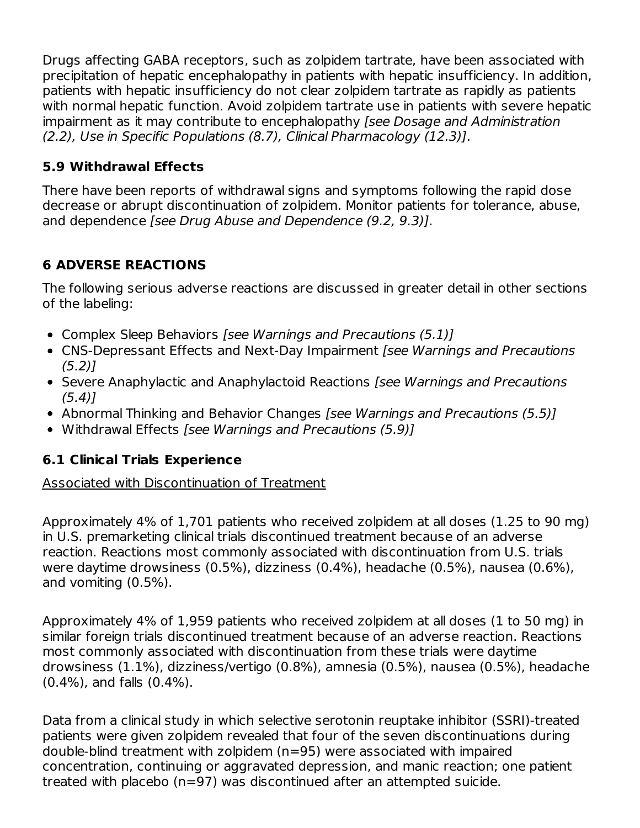Drugs affecting GABA receptors, such as zolpidem tartrate, have been associated with precipitation of hepatic encephalopathy in patients with hepatic insufficiency. In addition, patients with hepatic insufficiency do not clear zolpidem tartrate as rapidly as patients with normal hepatic function. Avoid zolpidem tartrate use in patients with severe hepatic impairment as it may contribute to encephalopathy [see Dosage and Administration (2.2), Use in Specific Populations (8.7), Clinical Pharmacology (12.3)].

# **5.9 Withdrawal Effects**

There have been reports of withdrawal signs and symptoms following the rapid dose decrease or abrupt discontinuation of zolpidem. Monitor patients for tolerance, abuse, and dependence [see Drug Abuse and Dependence (9.2, 9.3)].

# **6 ADVERSE REACTIONS**

The following serious adverse reactions are discussed in greater detail in other sections of the labeling:

- Complex Sleep Behaviors [see Warnings and Precautions (5.1)]
- CNS-Depressant Effects and Next-Day Impairment *[see Warnings and Precautions*  $(5.2)$ ]
- Severe Anaphylactic and Anaphylactoid Reactions *[see Warnings and Precautions*  $(5.4)$ ]
- Abnormal Thinking and Behavior Changes [see Warnings and Precautions (5.5)]
- Withdrawal Effects [see Warnings and Precautions (5.9)]

# **6.1 Clinical Trials Experience**

#### Associated with Discontinuation of Treatment

Approximately 4% of 1,701 patients who received zolpidem at all doses (1.25 to 90 mg) in U.S. premarketing clinical trials discontinued treatment because of an adverse reaction. Reactions most commonly associated with discontinuation from U.S. trials were daytime drowsiness (0.5%), dizziness (0.4%), headache (0.5%), nausea (0.6%), and vomiting (0.5%).

Approximately 4% of 1,959 patients who received zolpidem at all doses (1 to 50 mg) in similar foreign trials discontinued treatment because of an adverse reaction. Reactions most commonly associated with discontinuation from these trials were daytime drowsiness (1.1%), dizziness/vertigo (0.8%), amnesia (0.5%), nausea (0.5%), headache (0.4%), and falls (0.4%).

Data from a clinical study in which selective serotonin reuptake inhibitor (SSRI)-treated patients were given zolpidem revealed that four of the seven discontinuations during double-blind treatment with zolpidem (n=95) were associated with impaired concentration, continuing or aggravated depression, and manic reaction; one patient treated with placebo (n=97) was discontinued after an attempted suicide.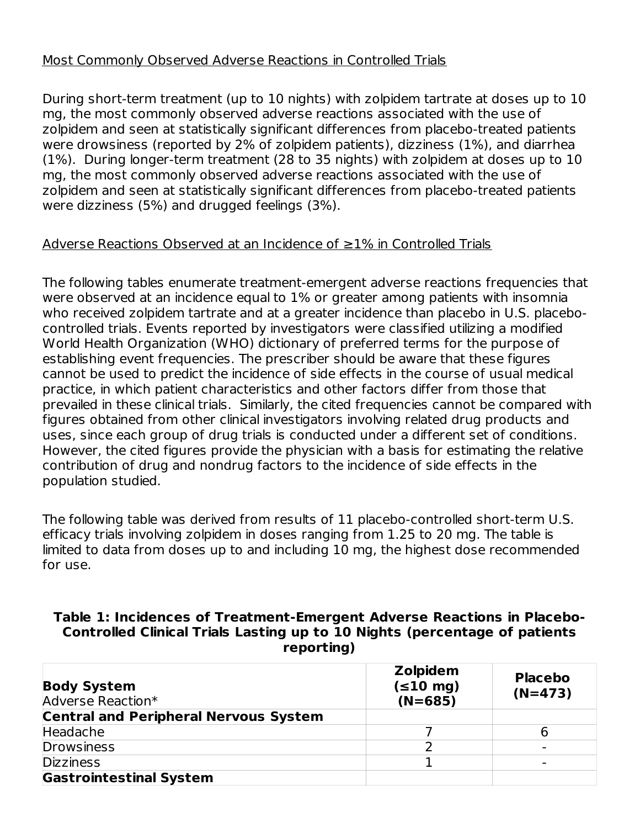#### Most Commonly Observed Adverse Reactions in Controlled Trials

During short-term treatment (up to 10 nights) with zolpidem tartrate at doses up to 10 mg, the most commonly observed adverse reactions associated with the use of zolpidem and seen at statistically significant differences from placebo-treated patients were drowsiness (reported by 2% of zolpidem patients), dizziness (1%), and diarrhea (1%). During longer-term treatment (28 to 35 nights) with zolpidem at doses up to 10 mg, the most commonly observed adverse reactions associated with the use of zolpidem and seen at statistically significant differences from placebo-treated patients were dizziness (5%) and drugged feelings (3%).

#### Adverse Reactions Observed at an Incidence of ≥1% in Controlled Trials

The following tables enumerate treatment-emergent adverse reactions frequencies that were observed at an incidence equal to 1% or greater among patients with insomnia who received zolpidem tartrate and at a greater incidence than placebo in U.S. placebocontrolled trials. Events reported by investigators were classified utilizing a modified World Health Organization (WHO) dictionary of preferred terms for the purpose of establishing event frequencies. The prescriber should be aware that these figures cannot be used to predict the incidence of side effects in the course of usual medical practice, in which patient characteristics and other factors differ from those that prevailed in these clinical trials. Similarly, the cited frequencies cannot be compared with figures obtained from other clinical investigators involving related drug products and uses, since each group of drug trials is conducted under a different set of conditions. However, the cited figures provide the physician with a basis for estimating the relative contribution of drug and nondrug factors to the incidence of side effects in the population studied.

The following table was derived from results of 11 placebo-controlled short-term U.S. efficacy trials involving zolpidem in doses ranging from 1.25 to 20 mg. The table is limited to data from doses up to and including 10 mg, the highest dose recommended for use.

#### **Table 1: Incidences of Treatment-Emergent Adverse Reactions in Placebo-Controlled Clinical Trials Lasting up to 10 Nights (percentage of patients reporting)**

| <b>Body System</b><br>Adverse Reaction*      | <b>Zolpidem</b><br>$(\leq10 mg)$<br>$(N=685)$ | <b>Placebo</b><br>$(N=473)$ |
|----------------------------------------------|-----------------------------------------------|-----------------------------|
| <b>Central and Peripheral Nervous System</b> |                                               |                             |
| Headache                                     |                                               | h                           |
| <b>Drowsiness</b>                            |                                               |                             |
| <b>Dizziness</b>                             |                                               |                             |
| <b>Gastrointestinal System</b>               |                                               |                             |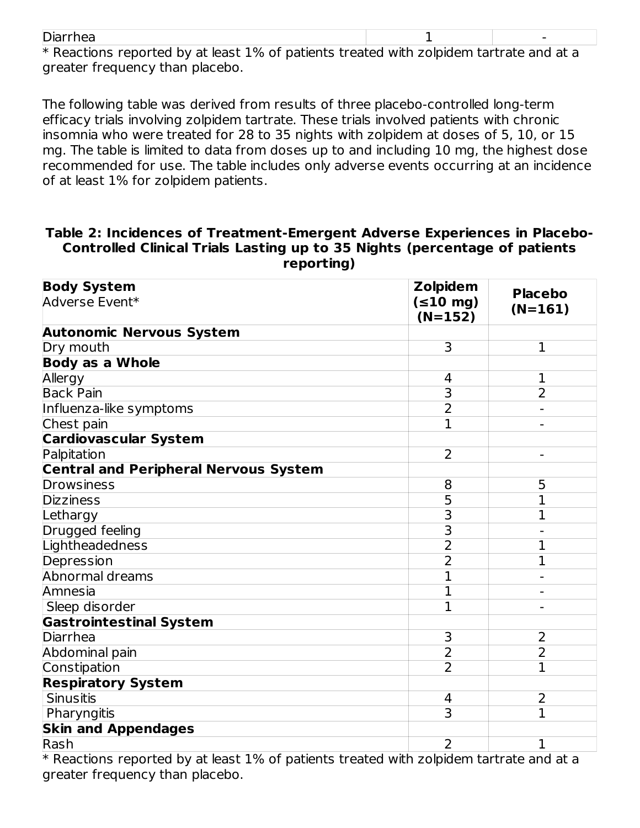| Diarrhea                                                                                  |  |
|-------------------------------------------------------------------------------------------|--|
| $*$ Poactions reported by at loast 1% of patients troated with zeloidem tartrate and at a |  |

 $\rm{*}$  Reactions reported by at least 1% of patients treated with zolpidem tartrate and at a greater frequency than placebo.

The following table was derived from results of three placebo-controlled long-term efficacy trials involving zolpidem tartrate. These trials involved patients with chronic insomnia who were treated for 28 to 35 nights with zolpidem at doses of 5, 10, or 15 mg. The table is limited to data from doses up to and including 10 mg, the highest dose recommended for use. The table includes only adverse events occurring at an incidence of at least 1% for zolpidem patients.

#### **Table 2: Incidences of Treatment-Emergent Adverse Experiences in Placebo-Controlled Clinical Trials Lasting up to 35 Nights (percentage of patients reporting)**

| <b>Body System</b>                           | <b>Zolpidem</b>            | <b>Placebo</b> |
|----------------------------------------------|----------------------------|----------------|
| Adverse Event*                               | $(\leq10 mg)$<br>$(N=152)$ | $(N=161)$      |
| <b>Autonomic Nervous System</b>              |                            |                |
| Dry mouth                                    | 3                          | $\mathbf 1$    |
| <b>Body as a Whole</b>                       |                            |                |
| Allergy                                      | 4                          | 1              |
| <b>Back Pain</b>                             | $\overline{\mathsf{3}}$    | $\overline{2}$ |
| Influenza-like symptoms                      | $\overline{2}$             |                |
| Chest pain                                   | $\mathbf{1}$               |                |
| <b>Cardiovascular System</b>                 |                            |                |
| Palpitation                                  | $\overline{2}$             |                |
| <b>Central and Peripheral Nervous System</b> |                            |                |
| Drowsiness                                   | 8                          | 5              |
| <b>Dizziness</b>                             | $\overline{5}$             | 1              |
| Lethargy                                     | $\overline{3}$             | 1              |
| Drugged feeling                              | $\overline{3}$             |                |
| Lightheadedness                              | $\overline{2}$             | 1              |
| Depression                                   | $\overline{2}$             | $\overline{1}$ |
| Abnormal dreams                              | $\overline{1}$             |                |
| Amnesia                                      | $\overline{1}$             |                |
| Sleep disorder                               | $\overline{1}$             |                |
| <b>Gastrointestinal System</b>               |                            |                |
| Diarrhea                                     | 3                          | $\overline{2}$ |
| Abdominal pain                               | $\overline{2}$             | $\overline{2}$ |
| Constipation                                 | $\overline{2}$             | $\overline{1}$ |
| <b>Respiratory System</b>                    |                            |                |
| <b>Sinusitis</b>                             | 4                          | 2              |
| Pharyngitis                                  | $\overline{3}$             | $\overline{1}$ |
| <b>Skin and Appendages</b>                   |                            |                |
| Rash                                         | 2                          | $\mathbf{1}$   |

\* Reactions reported by at least 1% of patients treated with zolpidem tartrate and at a greater frequency than placebo.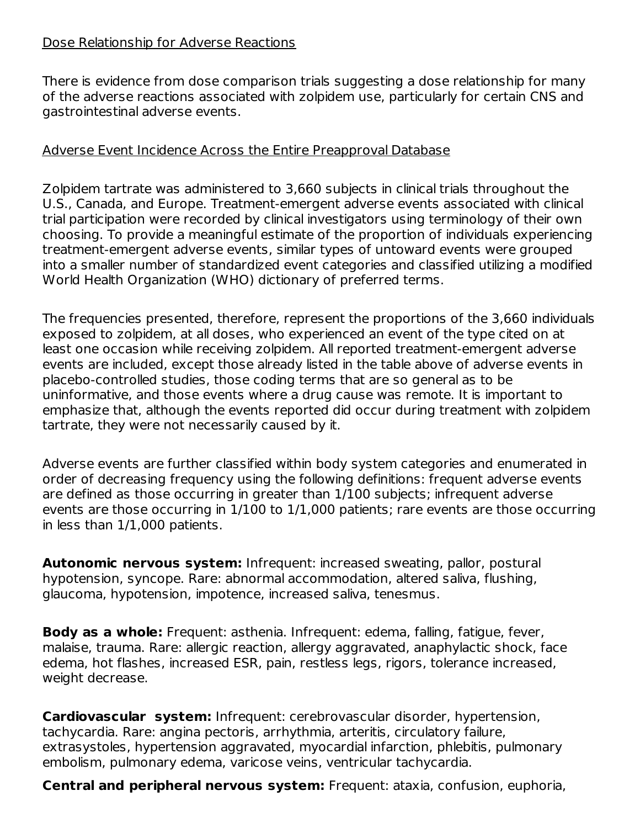#### Dose Relationship for Adverse Reactions

There is evidence from dose comparison trials suggesting a dose relationship for many of the adverse reactions associated with zolpidem use, particularly for certain CNS and gastrointestinal adverse events.

#### Adverse Event Incidence Across the Entire Preapproval Database

Zolpidem tartrate was administered to 3,660 subjects in clinical trials throughout the U.S., Canada, and Europe. Treatment-emergent adverse events associated with clinical trial participation were recorded by clinical investigators using terminology of their own choosing. To provide a meaningful estimate of the proportion of individuals experiencing treatment-emergent adverse events, similar types of untoward events were grouped into a smaller number of standardized event categories and classified utilizing a modified World Health Organization (WHO) dictionary of preferred terms.

The frequencies presented, therefore, represent the proportions of the 3,660 individuals exposed to zolpidem, at all doses, who experienced an event of the type cited on at least one occasion while receiving zolpidem. All reported treatment-emergent adverse events are included, except those already listed in the table above of adverse events in placebo-controlled studies, those coding terms that are so general as to be uninformative, and those events where a drug cause was remote. It is important to emphasize that, although the events reported did occur during treatment with zolpidem tartrate, they were not necessarily caused by it.

Adverse events are further classified within body system categories and enumerated in order of decreasing frequency using the following definitions: frequent adverse events are defined as those occurring in greater than 1/100 subjects; infrequent adverse events are those occurring in 1/100 to 1/1,000 patients; rare events are those occurring in less than 1/1,000 patients.

**Autonomic nervous system:** Infrequent: increased sweating, pallor, postural hypotension, syncope. Rare: abnormal accommodation, altered saliva, flushing, glaucoma, hypotension, impotence, increased saliva, tenesmus.

**Body as a whole:** Frequent: asthenia. Infrequent: edema, falling, fatigue, fever, malaise, trauma. Rare: allergic reaction, allergy aggravated, anaphylactic shock, face edema, hot flashes, increased ESR, pain, restless legs, rigors, tolerance increased, weight decrease.

**Cardiovascular system:** Infrequent: cerebrovascular disorder, hypertension, tachycardia. Rare: angina pectoris, arrhythmia, arteritis, circulatory failure, extrasystoles, hypertension aggravated, myocardial infarction, phlebitis, pulmonary embolism, pulmonary edema, varicose veins, ventricular tachycardia.

**Central and peripheral nervous system:** Frequent: ataxia, confusion, euphoria,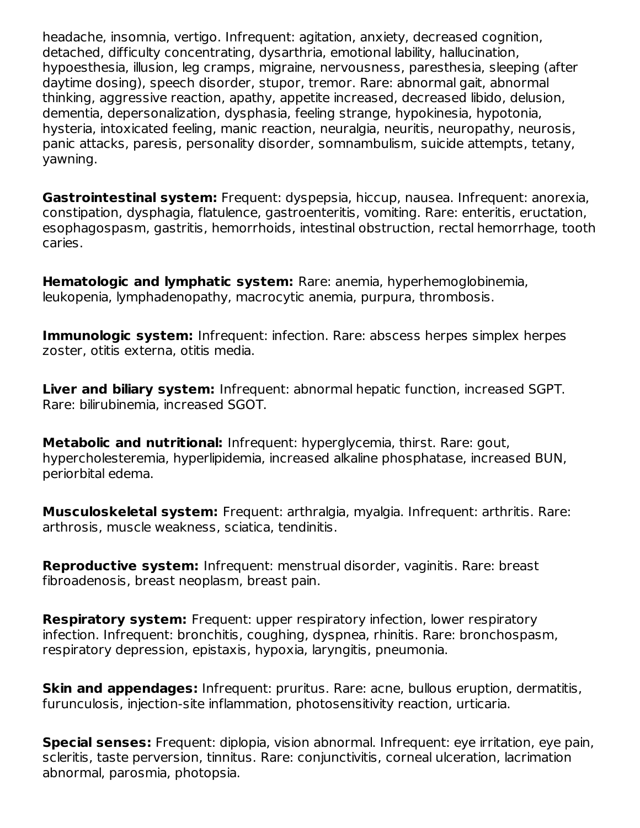headache, insomnia, vertigo. Infrequent: agitation, anxiety, decreased cognition, detached, difficulty concentrating, dysarthria, emotional lability, hallucination, hypoesthesia, illusion, leg cramps, migraine, nervousness, paresthesia, sleeping (after daytime dosing), speech disorder, stupor, tremor. Rare: abnormal gait, abnormal thinking, aggressive reaction, apathy, appetite increased, decreased libido, delusion, dementia, depersonalization, dysphasia, feeling strange, hypokinesia, hypotonia, hysteria, intoxicated feeling, manic reaction, neuralgia, neuritis, neuropathy, neurosis, panic attacks, paresis, personality disorder, somnambulism, suicide attempts, tetany, yawning.

**Gastrointestinal system:** Frequent: dyspepsia, hiccup, nausea. Infrequent: anorexia, constipation, dysphagia, flatulence, gastroenteritis, vomiting. Rare: enteritis, eructation, esophagospasm, gastritis, hemorrhoids, intestinal obstruction, rectal hemorrhage, tooth caries.

**Hematologic and lymphatic system:** Rare: anemia, hyperhemoglobinemia, leukopenia, lymphadenopathy, macrocytic anemia, purpura, thrombosis.

**Immunologic system:** Infrequent: infection. Rare: abscess herpes simplex herpes zoster, otitis externa, otitis media.

**Liver and biliary system:** Infrequent: abnormal hepatic function, increased SGPT. Rare: bilirubinemia, increased SGOT.

**Metabolic and nutritional:** Infrequent: hyperglycemia, thirst. Rare: gout, hypercholesteremia, hyperlipidemia, increased alkaline phosphatase, increased BUN, periorbital edema.

**Musculoskeletal system:** Frequent: arthralgia, myalgia. Infrequent: arthritis. Rare: arthrosis, muscle weakness, sciatica, tendinitis.

**Reproductive system:** Infrequent: menstrual disorder, vaginitis. Rare: breast fibroadenosis, breast neoplasm, breast pain.

**Respiratory system:** Frequent: upper respiratory infection, lower respiratory infection. Infrequent: bronchitis, coughing, dyspnea, rhinitis. Rare: bronchospasm, respiratory depression, epistaxis, hypoxia, laryngitis, pneumonia.

**Skin and appendages:** Infrequent: pruritus. Rare: acne, bullous eruption, dermatitis, furunculosis, injection-site inflammation, photosensitivity reaction, urticaria.

**Special senses:** Frequent: diplopia, vision abnormal. Infrequent: eye irritation, eye pain, scleritis, taste perversion, tinnitus. Rare: conjunctivitis, corneal ulceration, lacrimation abnormal, parosmia, photopsia.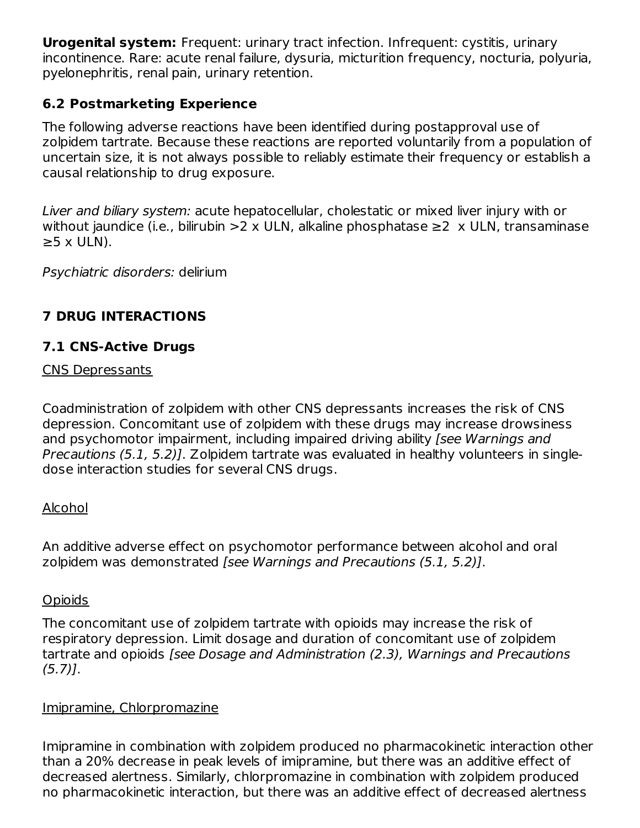**Urogenital system:** Frequent: urinary tract infection. Infrequent: cystitis, urinary incontinence. Rare: acute renal failure, dysuria, micturition frequency, nocturia, polyuria, pyelonephritis, renal pain, urinary retention.

# **6.2 Postmarketing Experience**

The following adverse reactions have been identified during postapproval use of zolpidem tartrate. Because these reactions are reported voluntarily from a population of uncertain size, it is not always possible to reliably estimate their frequency or establish a causal relationship to drug exposure.

Liver and biliary system: acute hepatocellular, cholestatic or mixed liver injury with or without jaundice (i.e., bilirubin >2 x ULN, alkaline phosphatase  $\geq$  2 x ULN, transaminase  $\geq$ 5 x ULN).

Psychiatric disorders: delirium

# **7 DRUG INTERACTIONS**

# **7.1 CNS-Active Drugs**

### CNS Depressants

Coadministration of zolpidem with other CNS depressants increases the risk of CNS depression. Concomitant use of zolpidem with these drugs may increase drowsiness and psychomotor impairment, including impaired driving ability [see Warnings and Precautions (5.1, 5.2)]. Zolpidem tartrate was evaluated in healthy volunteers in singledose interaction studies for several CNS drugs.

# Alcohol

An additive adverse effect on psychomotor performance between alcohol and oral zolpidem was demonstrated [see Warnings and Precautions (5.1, 5.2)].

# **Opioids**

The concomitant use of zolpidem tartrate with opioids may increase the risk of respiratory depression. Limit dosage and duration of concomitant use of zolpidem tartrate and opioids [see Dosage and Administration (2.3), Warnings and Precautions  $(5.7)$ ].

#### Imipramine, Chlorpromazine

Imipramine in combination with zolpidem produced no pharmacokinetic interaction other than a 20% decrease in peak levels of imipramine, but there was an additive effect of decreased alertness. Similarly, chlorpromazine in combination with zolpidem produced no pharmacokinetic interaction, but there was an additive effect of decreased alertness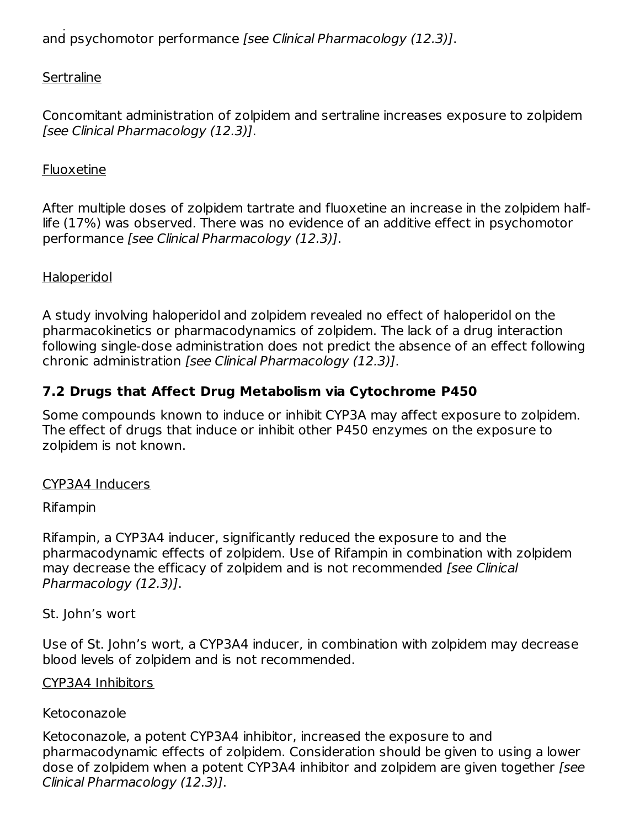no pharmacokinetic interaction, but there was an additive effect of decreased alertness and psychomotor performance [see Clinical Pharmacology (12.3)].

### **Sertraline**

Concomitant administration of zolpidem and sertraline increases exposure to zolpidem [see Clinical Pharmacology (12.3)].

#### Fluoxetine

After multiple doses of zolpidem tartrate and fluoxetine an increase in the zolpidem halflife (17%) was observed. There was no evidence of an additive effect in psychomotor performance [see Clinical Pharmacology (12.3)].

#### Haloperidol

A study involving haloperidol and zolpidem revealed no effect of haloperidol on the pharmacokinetics or pharmacodynamics of zolpidem. The lack of a drug interaction following single-dose administration does not predict the absence of an effect following chronic administration [see Clinical Pharmacology (12.3)].

# **7.2 Drugs that Affect Drug Metabolism via Cytochrome P450**

Some compounds known to induce or inhibit CYP3A may affect exposure to zolpidem. The effect of drugs that induce or inhibit other P450 enzymes on the exposure to zolpidem is not known.

#### CYP3A4 Inducers

#### Rifampin

Rifampin, a CYP3A4 inducer, significantly reduced the exposure to and the pharmacodynamic effects of zolpidem. Use of Rifampin in combination with zolpidem may decrease the efficacy of zolpidem and is not recommended [see Clinical Pharmacology (12.3)].

#### St. John's wort

Use of St. John's wort, a CYP3A4 inducer, in combination with zolpidem may decrease blood levels of zolpidem and is not recommended.

#### CYP3A4 Inhibitors

#### Ketoconazole

Ketoconazole, a potent CYP3A4 inhibitor, increased the exposure to and pharmacodynamic effects of zolpidem. Consideration should be given to using a lower dose of zolpidem when a potent CYP3A4 inhibitor and zolpidem are given together [see Clinical Pharmacology (12.3)].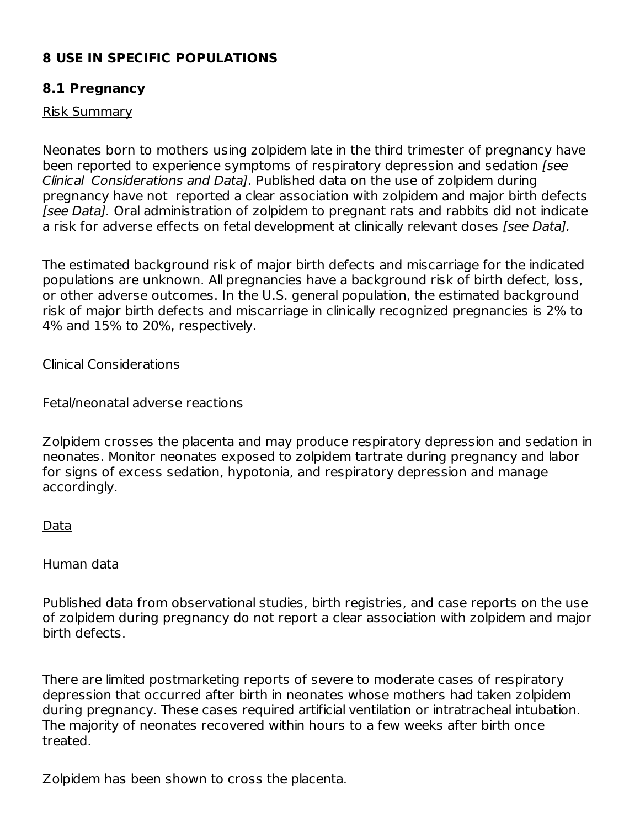# **8 USE IN SPECIFIC POPULATIONS**

#### **8.1 Pregnancy**

#### Risk Summary

Neonates born to mothers using zolpidem late in the third trimester of pregnancy have been reported to experience symptoms of respiratory depression and sedation [see Clinical Considerations and Data]. Published data on the use of zolpidem during pregnancy have not reported a clear association with zolpidem and major birth defects [see Data]. Oral administration of zolpidem to pregnant rats and rabbits did not indicate a risk for adverse effects on fetal development at clinically relevant doses [see Data].

The estimated background risk of major birth defects and miscarriage for the indicated populations are unknown. All pregnancies have a background risk of birth defect, loss, or other adverse outcomes. In the U.S. general population, the estimated background risk of major birth defects and miscarriage in clinically recognized pregnancies is 2% to 4% and 15% to 20%, respectively.

Clinical Considerations

Fetal/neonatal adverse reactions

Zolpidem crosses the placenta and may produce respiratory depression and sedation in neonates. Monitor neonates exposed to zolpidem tartrate during pregnancy and labor for signs of excess sedation, hypotonia, and respiratory depression and manage accordingly.

#### Data

Human data

Published data from observational studies, birth registries, and case reports on the use of zolpidem during pregnancy do not report a clear association with zolpidem and major birth defects.

There are limited postmarketing reports of severe to moderate cases of respiratory depression that occurred after birth in neonates whose mothers had taken zolpidem during pregnancy. These cases required artificial ventilation or intratracheal intubation. The majority of neonates recovered within hours to a few weeks after birth once treated.

Zolpidem has been shown to cross the placenta.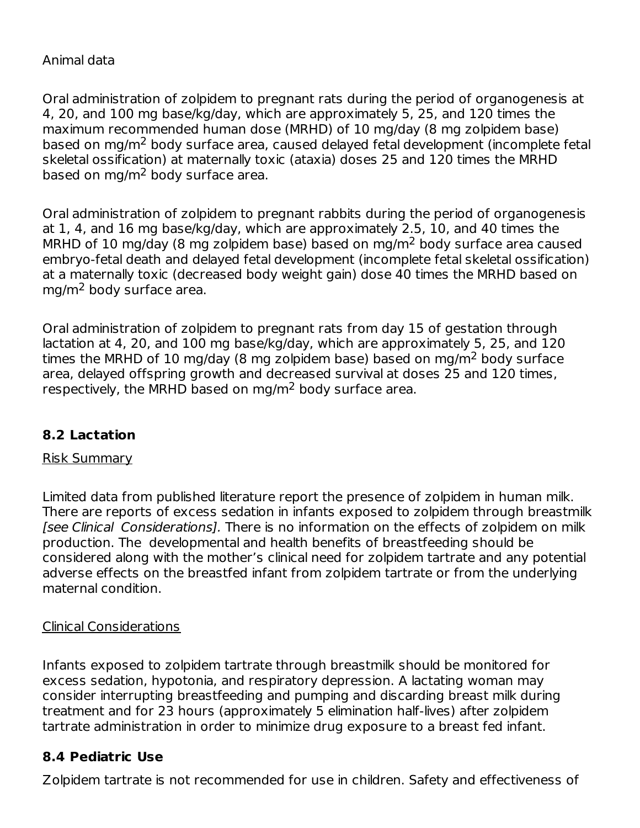#### Animal data

Oral administration of zolpidem to pregnant rats during the period of organogenesis at 4, 20, and 100 mg base/kg/day, which are approximately 5, 25, and 120 times the maximum recommended human dose (MRHD) of 10 mg/day (8 mg zolpidem base) based on mg/m<sup>2</sup> body surface area, caused delayed fetal development (incomplete fetal skeletal ossification) at maternally toxic (ataxia) doses 25 and 120 times the MRHD based on mg/m<sup>2</sup> body surface area.

Oral administration of zolpidem to pregnant rabbits during the period of organogenesis at 1, 4, and 16 mg base/kg/day, which are approximately 2.5, 10, and 40 times the MRHD of 10 mg/day (8 mg zolpidem base) based on mg/m<sup>2</sup> body surface area caused embryo-fetal death and delayed fetal development (incomplete fetal skeletal ossification) at a maternally toxic (decreased body weight gain) dose 40 times the MRHD based on mg/m<sup>2</sup> body surface area.

Oral administration of zolpidem to pregnant rats from day 15 of gestation through lactation at 4, 20, and 100 mg base/kg/day, which are approximately 5, 25, and 120 times the MRHD of 10 mg/day (8 mg zolpidem base) based on mg/m<sup>2</sup> body surface area, delayed offspring growth and decreased survival at doses 25 and 120 times, respectively, the MRHD based on mg/m<sup>2</sup> body surface area.

# **8.2 Lactation**

#### Risk Summary

Limited data from published literature report the presence of zolpidem in human milk. There are reports of excess sedation in infants exposed to zolpidem through breastmilk [see Clinical Considerations]. There is no information on the effects of zolpidem on milk production. The developmental and health benefits of breastfeeding should be considered along with the mother's clinical need for zolpidem tartrate and any potential adverse effects on the breastfed infant from zolpidem tartrate or from the underlying maternal condition.

#### Clinical Considerations

Infants exposed to zolpidem tartrate through breastmilk should be monitored for excess sedation, hypotonia, and respiratory depression. A lactating woman may consider interrupting breastfeeding and pumping and discarding breast milk during treatment and for 23 hours (approximately 5 elimination half-lives) after zolpidem tartrate administration in order to minimize drug exposure to a breast fed infant.

#### **8.4 Pediatric Use**

Zolpidem tartrate is not recommended for use in children. Safety and effectiveness of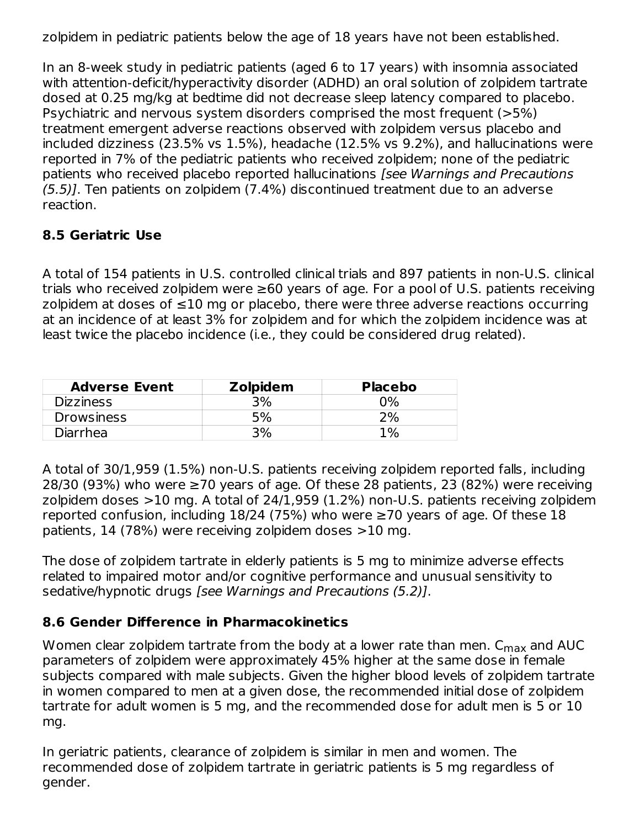zolpidem in pediatric patients below the age of 18 years have not been established.

In an 8-week study in pediatric patients (aged 6 to 17 years) with insomnia associated with attention-deficit/hyperactivity disorder (ADHD) an oral solution of zolpidem tartrate dosed at 0.25 mg/kg at bedtime did not decrease sleep latency compared to placebo. Psychiatric and nervous system disorders comprised the most frequent (>5%) treatment emergent adverse reactions observed with zolpidem versus placebo and included dizziness (23.5% vs 1.5%), headache (12.5% vs 9.2%), and hallucinations were reported in 7% of the pediatric patients who received zolpidem; none of the pediatric patients who received placebo reported hallucinations [see Warnings and Precautions (5.5)]. Ten patients on zolpidem (7.4%) discontinued treatment due to an adverse reaction.

# **8.5 Geriatric Use**

A total of 154 patients in U.S. controlled clinical trials and 897 patients in non-U.S. clinical trials who received zolpidem were ≥60 years of age. For a pool of U.S. patients receiving zolpidem at doses of ≤10 mg or placebo, there were three adverse reactions occurring at an incidence of at least 3% for zolpidem and for which the zolpidem incidence was at least twice the placebo incidence (i.e., they could be considered drug related).

| <b>Adverse Event</b> | <b>Zolpidem</b> | <b>Placebo</b> |
|----------------------|-----------------|----------------|
| Dizziness            | 3%              | $2\%$          |
| <b>Drowsiness</b>    | 5%              | $2\%$          |
| Diarrhea             | 3%              | 1%             |

A total of 30/1,959 (1.5%) non-U.S. patients receiving zolpidem reported falls, including 28/30 (93%) who were ≥70 years of age. Of these 28 patients, 23 (82%) were receiving zolpidem doses >10 mg. A total of 24/1,959 (1.2%) non-U.S. patients receiving zolpidem reported confusion, including  $18/24$  (75%) who were  $\geq$ 70 years of age. Of these 18 patients, 14 (78%) were receiving zolpidem doses >10 mg.

The dose of zolpidem tartrate in elderly patients is 5 mg to minimize adverse effects related to impaired motor and/or cognitive performance and unusual sensitivity to sedative/hypnotic drugs [see Warnings and Precautions (5.2)].

# **8.6 Gender Difference in Pharmacokinetics**

Women clear zolpidem tartrate from the body at a lower rate than men. C<sub>max</sub> and AUC parameters of zolpidem were approximately 45% higher at the same dose in female subjects compared with male subjects. Given the higher blood levels of zolpidem tartrate in women compared to men at a given dose, the recommended initial dose of zolpidem tartrate for adult women is 5 mg, and the recommended dose for adult men is 5 or 10 mg.

In geriatric patients, clearance of zolpidem is similar in men and women. The recommended dose of zolpidem tartrate in geriatric patients is 5 mg regardless of gender.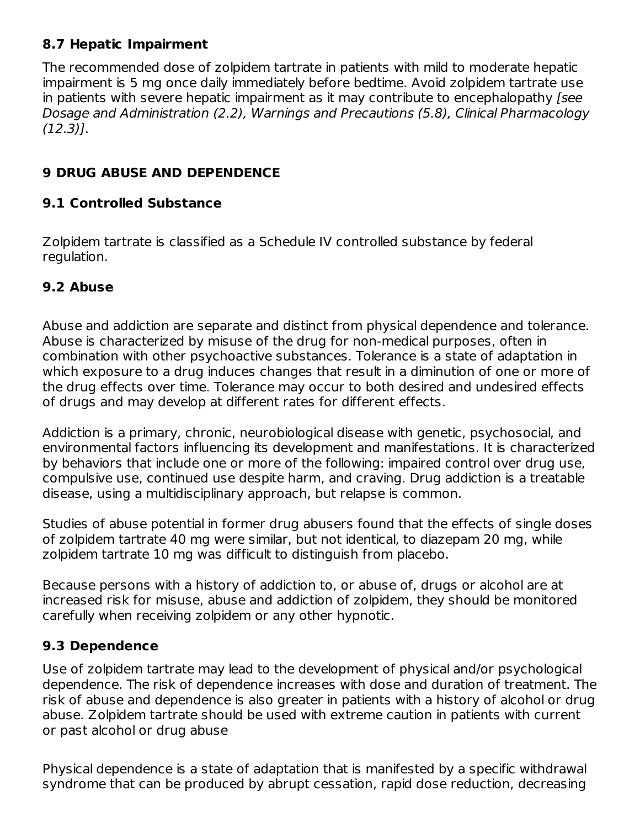#### **8.7 Hepatic Impairment**

The recommended dose of zolpidem tartrate in patients with mild to moderate hepatic impairment is 5 mg once daily immediately before bedtime. Avoid zolpidem tartrate use in patients with severe hepatic impairment as it may contribute to encephalopathy (see Dosage and Administration (2.2), Warnings and Precautions (5.8), Clinical Pharmacology (12.3)].

### **9 DRUG ABUSE AND DEPENDENCE**

#### **9.1 Controlled Substance**

Zolpidem tartrate is classified as a Schedule IV controlled substance by federal regulation.

#### **9.2 Abuse**

Abuse and addiction are separate and distinct from physical dependence and tolerance. Abuse is characterized by misuse of the drug for non-medical purposes, often in combination with other psychoactive substances. Tolerance is a state of adaptation in which exposure to a drug induces changes that result in a diminution of one or more of the drug effects over time. Tolerance may occur to both desired and undesired effects of drugs and may develop at different rates for different effects.

Addiction is a primary, chronic, neurobiological disease with genetic, psychosocial, and environmental factors influencing its development and manifestations. It is characterized by behaviors that include one or more of the following: impaired control over drug use, compulsive use, continued use despite harm, and craving. Drug addiction is a treatable disease, using a multidisciplinary approach, but relapse is common.

Studies of abuse potential in former drug abusers found that the effects of single doses of zolpidem tartrate 40 mg were similar, but not identical, to diazepam 20 mg, while zolpidem tartrate 10 mg was difficult to distinguish from placebo.

Because persons with a history of addiction to, or abuse of, drugs or alcohol are at increased risk for misuse, abuse and addiction of zolpidem, they should be monitored carefully when receiving zolpidem or any other hypnotic.

#### **9.3 Dependence**

Use of zolpidem tartrate may lead to the development of physical and/or psychological dependence. The risk of dependence increases with dose and duration of treatment. The risk of abuse and dependence is also greater in patients with a history of alcohol or drug abuse. Zolpidem tartrate should be used with extreme caution in patients with current or past alcohol or drug abuse

Physical dependence is a state of adaptation that is manifested by a specific withdrawal syndrome that can be produced by abrupt cessation, rapid dose reduction, decreasing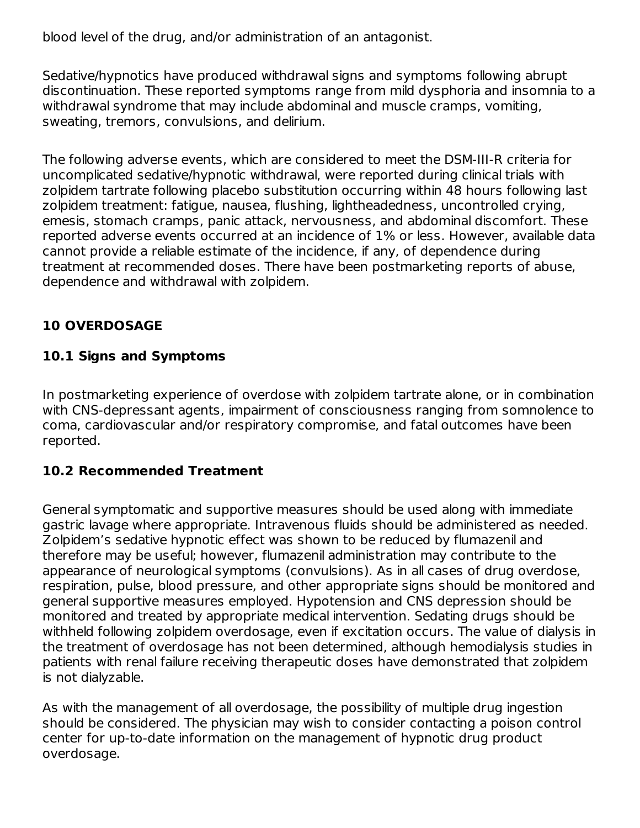blood level of the drug, and/or administration of an antagonist.

Sedative/hypnotics have produced withdrawal signs and symptoms following abrupt discontinuation. These reported symptoms range from mild dysphoria and insomnia to a withdrawal syndrome that may include abdominal and muscle cramps, vomiting, sweating, tremors, convulsions, and delirium.

The following adverse events, which are considered to meet the DSM-III-R criteria for uncomplicated sedative/hypnotic withdrawal, were reported during clinical trials with zolpidem tartrate following placebo substitution occurring within 48 hours following last zolpidem treatment: fatigue, nausea, flushing, lightheadedness, uncontrolled crying, emesis, stomach cramps, panic attack, nervousness, and abdominal discomfort. These reported adverse events occurred at an incidence of 1% or less. However, available data cannot provide a reliable estimate of the incidence, if any, of dependence during treatment at recommended doses. There have been postmarketing reports of abuse, dependence and withdrawal with zolpidem.

# **10 OVERDOSAGE**

# **10.1 Signs and Symptoms**

In postmarketing experience of overdose with zolpidem tartrate alone, or in combination with CNS-depressant agents, impairment of consciousness ranging from somnolence to coma, cardiovascular and/or respiratory compromise, and fatal outcomes have been reported.

# **10.2 Recommended Treatment**

General symptomatic and supportive measures should be used along with immediate gastric lavage where appropriate. Intravenous fluids should be administered as needed. Zolpidem's sedative hypnotic effect was shown to be reduced by flumazenil and therefore may be useful; however, flumazenil administration may contribute to the appearance of neurological symptoms (convulsions). As in all cases of drug overdose, respiration, pulse, blood pressure, and other appropriate signs should be monitored and general supportive measures employed. Hypotension and CNS depression should be monitored and treated by appropriate medical intervention. Sedating drugs should be withheld following zolpidem overdosage, even if excitation occurs. The value of dialysis in the treatment of overdosage has not been determined, although hemodialysis studies in patients with renal failure receiving therapeutic doses have demonstrated that zolpidem is not dialyzable.

As with the management of all overdosage, the possibility of multiple drug ingestion should be considered. The physician may wish to consider contacting a poison control center for up-to-date information on the management of hypnotic drug product overdosage.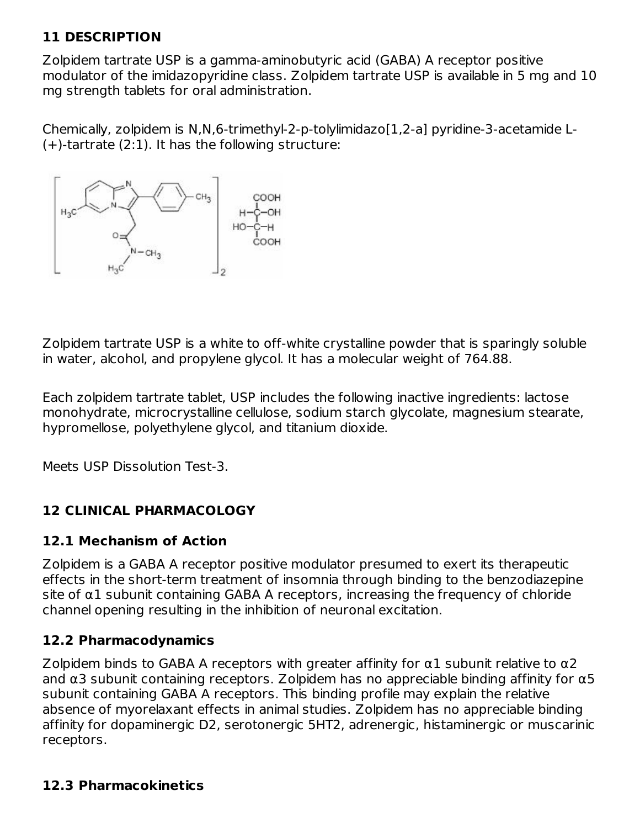# **11 DESCRIPTION**

Zolpidem tartrate USP is a gamma-aminobutyric acid (GABA) A receptor positive modulator of the imidazopyridine class. Zolpidem tartrate USP is available in 5 mg and 10 mg strength tablets for oral administration.

Chemically, zolpidem is N,N,6-trimethyl-2-p-tolylimidazo[1,2-a] pyridine-3-acetamide L- (+)-tartrate (2:1). It has the following structure:



Zolpidem tartrate USP is a white to off-white crystalline powder that is sparingly soluble in water, alcohol, and propylene glycol. It has a molecular weight of 764.88.

Each zolpidem tartrate tablet, USP includes the following inactive ingredients: lactose monohydrate, microcrystalline cellulose, sodium starch glycolate, magnesium stearate, hypromellose, polyethylene glycol, and titanium dioxide.

Meets USP Dissolution Test-3.

# **12 CLINICAL PHARMACOLOGY**

#### **12.1 Mechanism of Action**

Zolpidem is a GABA A receptor positive modulator presumed to exert its therapeutic effects in the short-term treatment of insomnia through binding to the benzodiazepine  $\sin \alpha$  subunit containing GABA A receptors, increasing the frequency of chloride channel opening resulting in the inhibition of neuronal excitation.

#### **12.2 Pharmacodynamics**

Zolpidem binds to GABA A receptors with greater affinity for  $\alpha$ 1 subunit relative to  $\alpha$ 2 and  $\alpha$ 3 subunit containing receptors. Zolpidem has no appreciable binding affinity for  $\alpha$ 5 subunit containing GABA A receptors. This binding profile may explain the relative absence of myorelaxant effects in animal studies. Zolpidem has no appreciable binding affinity for dopaminergic D2, serotonergic 5HT2, adrenergic, histaminergic or muscarinic receptors.

#### **12.3 Pharmacokinetics**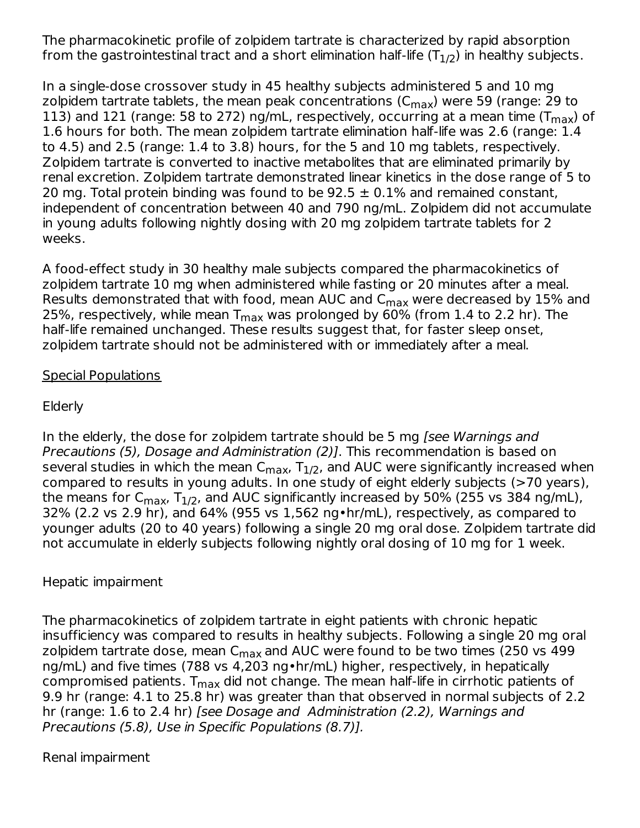The pharmacokinetic profile of zolpidem tartrate is characterized by rapid absorption from the gastrointestinal tract and a short elimination half-life (T $_{\rm 1/2}$ ) in healthy subjects.

In a single-dose crossover study in 45 healthy subjects administered 5 and 10 mg zolpidem tartrate tablets, the mean peak concentrations (C<sub>max</sub>) were 59 (range: 29 to 113) and 121 (range: 58 to 272) ng/mL, respectively, occurring at a mean time (T $_{\sf max}$ ) of 1.6 hours for both. The mean zolpidem tartrate elimination half-life was 2.6 (range: 1.4 to 4.5) and 2.5 (range: 1.4 to 3.8) hours, for the 5 and 10 mg tablets, respectively. Zolpidem tartrate is converted to inactive metabolites that are eliminated primarily by renal excretion. Zolpidem tartrate demonstrated linear kinetics in the dose range of 5 to 20 mg. Total protein binding was found to be  $92.5 \pm 0.1\%$  and remained constant, independent of concentration between 40 and 790 ng/mL. Zolpidem did not accumulate in young adults following nightly dosing with 20 mg zolpidem tartrate tablets for 2 weeks.

A food-effect study in 30 healthy male subjects compared the pharmacokinetics of zolpidem tartrate 10 mg when administered while fasting or 20 minutes after a meal. Results demonstrated that with food, mean AUC and C<sub>max</sub> were decreased by 15% and 25%, respectively, while mean T<sub>max</sub> was prolonged by 60% (from 1.4 to 2.2 hr). The half-life remained unchanged. These results suggest that, for faster sleep onset, zolpidem tartrate should not be administered with or immediately after a meal.

#### Special Populations

#### **Elderly**

In the elderly, the dose for zolpidem tartrate should be 5 mg [see Warnings and Precautions (5), Dosage and Administration (2)]. This recommendation is based on several studies in which the mean C $_{\sf max}$ , T $_{1/2}$ , and AUC were significantly increased when compared to results in young adults. In one study of eight elderly subjects (>70 years), the means for C<sub>max</sub>, T<sub>1/2</sub>, and AUC significantly increased by 50% (255 vs 384 ng/mL), 32% (2.2 vs 2.9 hr), and 64% (955 vs 1,562 ng•hr/mL), respectively, as compared to younger adults (20 to 40 years) following a single 20 mg oral dose. Zolpidem tartrate did not accumulate in elderly subjects following nightly oral dosing of 10 mg for 1 week.

#### Hepatic impairment

The pharmacokinetics of zolpidem tartrate in eight patients with chronic hepatic insufficiency was compared to results in healthy subjects. Following a single 20 mg oral zolpidem tartrate dose, mean C<sub>max</sub> and AUC were found to be two times (250 vs 499 ng/mL) and five times (788 vs 4,203 ng•hr/mL) higher, respectively, in hepatically compromised patients.  ${\sf T}_{\sf max}$  did not change. The mean half-life in cirrhotic patients of 9.9 hr (range: 4.1 to 25.8 hr) was greater than that observed in normal subjects of 2.2 hr (range: 1.6 to 2.4 hr) [see Dosage and Administration (2.2), Warnings and Precautions (5.8), Use in Specific Populations (8.7)].

#### Renal impairment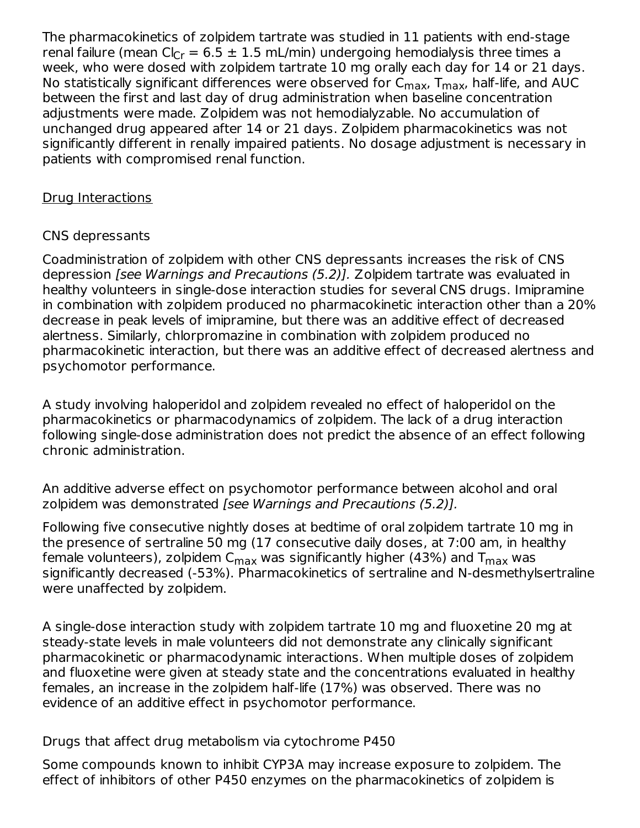The pharmacokinetics of zolpidem tartrate was studied in 11 patients with end-stage renal failure (mean Cl $_{\rm Cr}$  = 6.5  $\pm$  1.5 mL/min) undergoing hemodialysis three times a week, who were dosed with zolpidem tartrate 10 mg orally each day for 14 or 21 days. No statistically significant differences were observed for  $\mathsf{C}_{\mathsf{max}}$ ,  $\mathsf{T}_{\mathsf{max}}$ , half-life, and AUC between the first and last day of drug administration when baseline concentration adjustments were made. Zolpidem was not hemodialyzable. No accumulation of unchanged drug appeared after 14 or 21 days. Zolpidem pharmacokinetics was not significantly different in renally impaired patients. No dosage adjustment is necessary in patients with compromised renal function.

### Drug Interactions

### CNS depressants

Coadministration of zolpidem with other CNS depressants increases the risk of CNS depression [see Warnings and Precautions (5.2)]. Zolpidem tartrate was evaluated in healthy volunteers in single-dose interaction studies for several CNS drugs. Imipramine in combination with zolpidem produced no pharmacokinetic interaction other than a 20% decrease in peak levels of imipramine, but there was an additive effect of decreased alertness. Similarly, chlorpromazine in combination with zolpidem produced no pharmacokinetic interaction, but there was an additive effect of decreased alertness and psychomotor performance.

A study involving haloperidol and zolpidem revealed no effect of haloperidol on the pharmacokinetics or pharmacodynamics of zolpidem. The lack of a drug interaction following single-dose administration does not predict the absence of an effect following chronic administration.

An additive adverse effect on psychomotor performance between alcohol and oral zolpidem was demonstrated [see Warnings and Precautions (5.2)].

Following five consecutive nightly doses at bedtime of oral zolpidem tartrate 10 mg in the presence of sertraline 50 mg (17 consecutive daily doses, at 7:00 am, in healthy female volunteers), zolpidem C<sub>max</sub> was significantly higher (43%) and T<sub>max</sub> was significantly decreased (-53%). Pharmacokinetics of sertraline and N-desmethylsertraline were unaffected by zolpidem.

A single-dose interaction study with zolpidem tartrate 10 mg and fluoxetine 20 mg at steady-state levels in male volunteers did not demonstrate any clinically significant pharmacokinetic or pharmacodynamic interactions. When multiple doses of zolpidem and fluoxetine were given at steady state and the concentrations evaluated in healthy females, an increase in the zolpidem half-life (17%) was observed. There was no evidence of an additive effect in psychomotor performance.

Drugs that affect drug metabolism via cytochrome P450

Some compounds known to inhibit CYP3A may increase exposure to zolpidem. The effect of inhibitors of other P450 enzymes on the pharmacokinetics of zolpidem is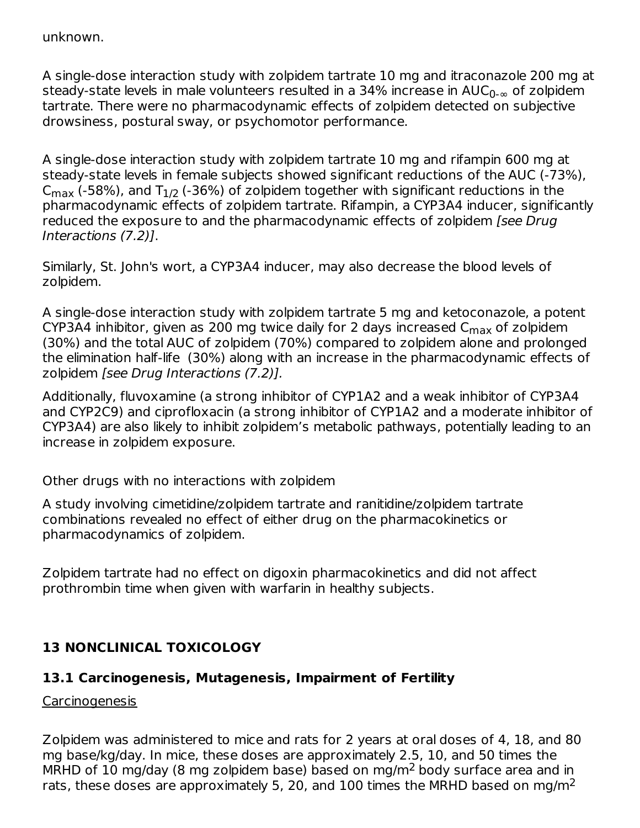unknown.

A single-dose interaction study with zolpidem tartrate 10 mg and itraconazole 200 mg at steady-state levels in male volunteers resulted in a 34% increase in AUC $_{\rm 0\text{-}\infty}$  of zolpidem tartrate. There were no pharmacodynamic effects of zolpidem detected on subjective drowsiness, postural sway, or psychomotor performance.

A single-dose interaction study with zolpidem tartrate 10 mg and rifampin 600 mg at steady-state levels in female subjects showed significant reductions of the AUC (-73%), C<sub>max</sub> (-58%), and T $_{1/2}$  (-36%) of zolpidem together with significant reductions in the pharmacodynamic effects of zolpidem tartrate. Rifampin, a CYP3A4 inducer, significantly reduced the exposure to and the pharmacodynamic effects of zolpidem [see Drug] Interactions (7.2)].

Similarly, St. John's wort, a CYP3A4 inducer, may also decrease the blood levels of zolpidem.

A single-dose interaction study with zolpidem tartrate 5 mg and ketoconazole, a potent CYP3A4 inhibitor, given as 200 mg twice daily for 2 days increased  $\mathsf{C}_{\mathsf{max}}$  of zolpidem (30%) and the total AUC of zolpidem (70%) compared to zolpidem alone and prolonged the elimination half-life (30%) along with an increase in the pharmacodynamic effects of zolpidem [see Drug Interactions (7.2)].

Additionally, fluvoxamine (a strong inhibitor of CYP1A2 and a weak inhibitor of CYP3A4 and CYP2C9) and ciprofloxacin (a strong inhibitor of CYP1A2 and a moderate inhibitor of CYP3A4) are also likely to inhibit zolpidem's metabolic pathways, potentially leading to an increase in zolpidem exposure.

Other drugs with no interactions with zolpidem

A study involving cimetidine/zolpidem tartrate and ranitidine/zolpidem tartrate combinations revealed no effect of either drug on the pharmacokinetics or pharmacodynamics of zolpidem.

Zolpidem tartrate had no effect on digoxin pharmacokinetics and did not affect prothrombin time when given with warfarin in healthy subjects.

# **13 NONCLINICAL TOXICOLOGY**

#### **13.1 Carcinogenesis, Mutagenesis, Impairment of Fertility**

**Carcinogenesis** 

Zolpidem was administered to mice and rats for 2 years at oral doses of 4, 18, and 80 mg base/kg/day. In mice, these doses are approximately 2.5, 10, and 50 times the MRHD of 10 mg/day (8 mg zolpidem base) based on mg/m<sup>2</sup> body surface area and in rats, these doses are approximately 5, 20, and 100 times the MRHD based on mg/m<sup>2</sup>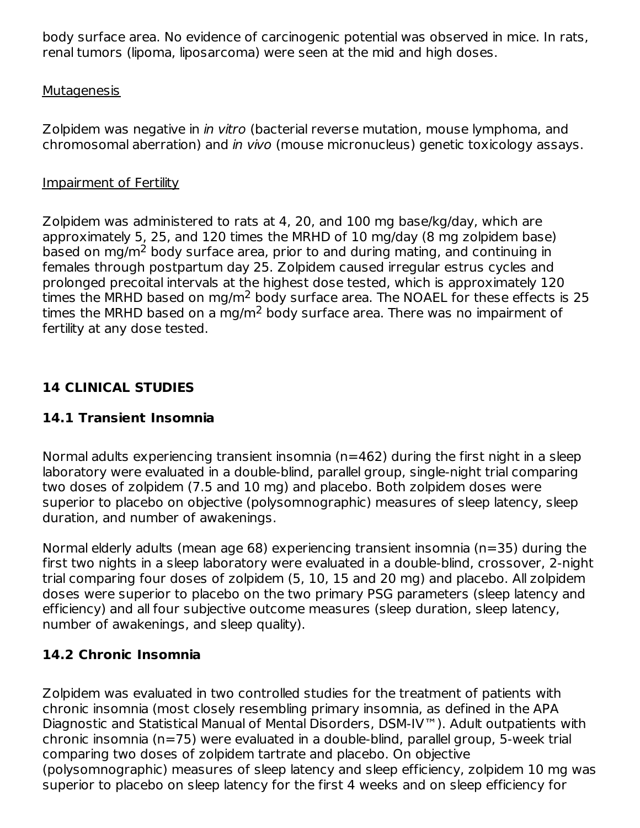body surface area. No evidence of carcinogenic potential was observed in mice. In rats, renal tumors (lipoma, liposarcoma) were seen at the mid and high doses.

#### Mutagenesis

Zolpidem was negative in *in vitro* (bacterial reverse mutation, mouse lymphoma, and chromosomal aberration) and in vivo (mouse micronucleus) genetic toxicology assays.

#### Impairment of Fertility

Zolpidem was administered to rats at 4, 20, and 100 mg base/kg/day, which are approximately 5, 25, and 120 times the MRHD of 10 mg/day (8 mg zolpidem base) based on mg/m<sup>2</sup> body surface area, prior to and during mating, and continuing in females through postpartum day 25. Zolpidem caused irregular estrus cycles and prolonged precoital intervals at the highest dose tested, which is approximately 120 times the MRHD based on mg/m<sup>2</sup> body surface area. The NOAEL for these effects is 25 times the MRHD based on a mg/m<sup>2</sup> body surface area. There was no impairment of fertility at any dose tested.

# **14 CLINICAL STUDIES**

### **14.1 Transient Insomnia**

Normal adults experiencing transient insomnia (n=462) during the first night in a sleep laboratory were evaluated in a double-blind, parallel group, single-night trial comparing two doses of zolpidem (7.5 and 10 mg) and placebo. Both zolpidem doses were superior to placebo on objective (polysomnographic) measures of sleep latency, sleep duration, and number of awakenings.

Normal elderly adults (mean age 68) experiencing transient insomnia (n=35) during the first two nights in a sleep laboratory were evaluated in a double-blind, crossover, 2-night trial comparing four doses of zolpidem (5, 10, 15 and 20 mg) and placebo. All zolpidem doses were superior to placebo on the two primary PSG parameters (sleep latency and efficiency) and all four subjective outcome measures (sleep duration, sleep latency, number of awakenings, and sleep quality).

# **14.2 Chronic Insomnia**

Zolpidem was evaluated in two controlled studies for the treatment of patients with chronic insomnia (most closely resembling primary insomnia, as defined in the APA Diagnostic and Statistical Manual of Mental Disorders, DSM-IV™). Adult outpatients with chronic insomnia (n=75) were evaluated in a double-blind, parallel group, 5-week trial comparing two doses of zolpidem tartrate and placebo. On objective (polysomnographic) measures of sleep latency and sleep efficiency, zolpidem 10 mg was superior to placebo on sleep latency for the first 4 weeks and on sleep efficiency for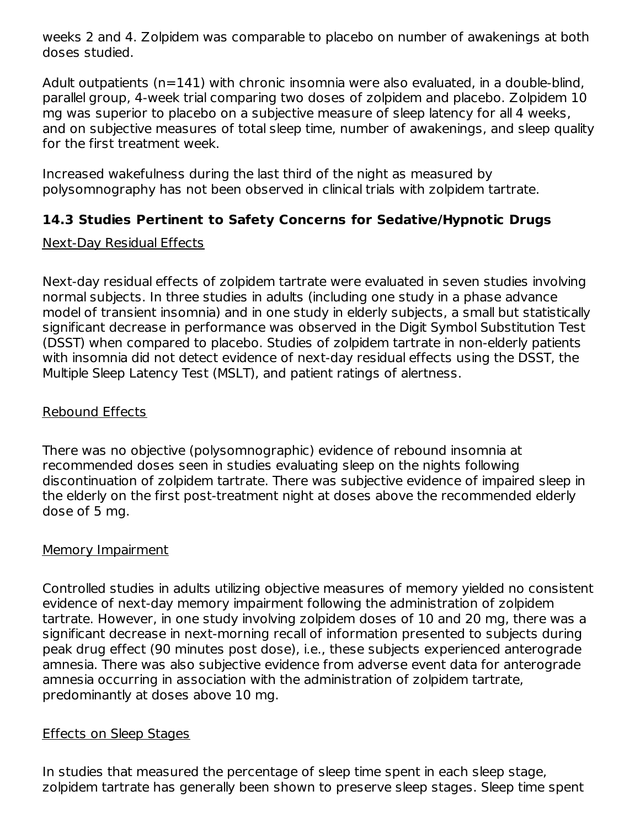weeks 2 and 4. Zolpidem was comparable to placebo on number of awakenings at both doses studied.

Adult outpatients (n=141) with chronic insomnia were also evaluated, in a double-blind, parallel group, 4-week trial comparing two doses of zolpidem and placebo. Zolpidem 10 mg was superior to placebo on a subjective measure of sleep latency for all 4 weeks, and on subjective measures of total sleep time, number of awakenings, and sleep quality for the first treatment week.

Increased wakefulness during the last third of the night as measured by polysomnography has not been observed in clinical trials with zolpidem tartrate.

# **14.3 Studies Pertinent to Safety Concerns for Sedative/Hypnotic Drugs**

#### Next-Day Residual Effects

Next-day residual effects of zolpidem tartrate were evaluated in seven studies involving normal subjects. In three studies in adults (including one study in a phase advance model of transient insomnia) and in one study in elderly subjects, a small but statistically significant decrease in performance was observed in the Digit Symbol Substitution Test (DSST) when compared to placebo. Studies of zolpidem tartrate in non-elderly patients with insomnia did not detect evidence of next-day residual effects using the DSST, the Multiple Sleep Latency Test (MSLT), and patient ratings of alertness.

### Rebound Effects

There was no objective (polysomnographic) evidence of rebound insomnia at recommended doses seen in studies evaluating sleep on the nights following discontinuation of zolpidem tartrate. There was subjective evidence of impaired sleep in the elderly on the first post-treatment night at doses above the recommended elderly dose of 5 mg.

#### Memory Impairment

Controlled studies in adults utilizing objective measures of memory yielded no consistent evidence of next-day memory impairment following the administration of zolpidem tartrate. However, in one study involving zolpidem doses of 10 and 20 mg, there was a significant decrease in next-morning recall of information presented to subjects during peak drug effect (90 minutes post dose), i.e., these subjects experienced anterograde amnesia. There was also subjective evidence from adverse event data for anterograde amnesia occurring in association with the administration of zolpidem tartrate, predominantly at doses above 10 mg.

#### Effects on Sleep Stages

In studies that measured the percentage of sleep time spent in each sleep stage, zolpidem tartrate has generally been shown to preserve sleep stages. Sleep time spent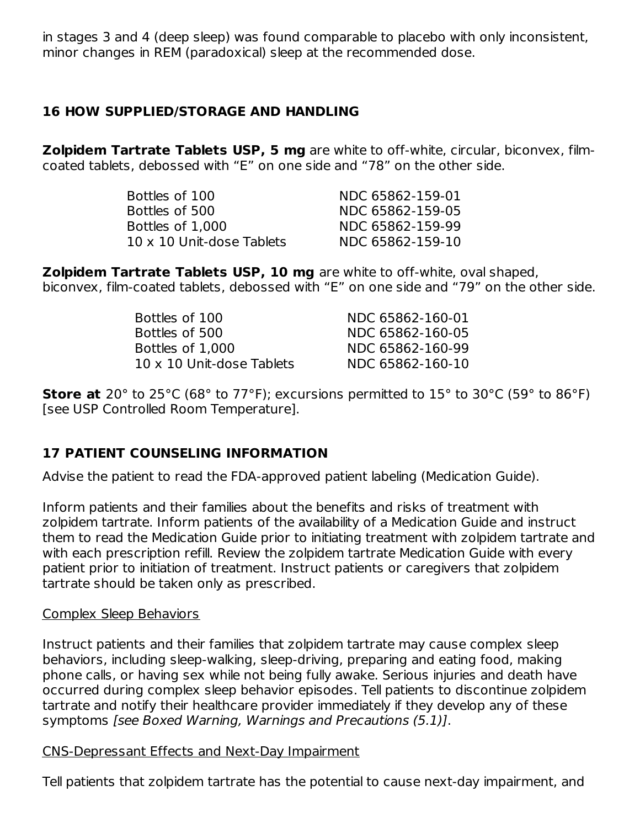in stages 3 and 4 (deep sleep) was found comparable to placebo with only inconsistent, minor changes in REM (paradoxical) sleep at the recommended dose.

### **16 HOW SUPPLIED/STORAGE AND HANDLING**

**Zolpidem Tartrate Tablets USP, 5 mg** are white to off-white, circular, biconvex, filmcoated tablets, debossed with "E" on one side and "78" on the other side.

| Bottles of 100                   | NDC 65862-159-01 |
|----------------------------------|------------------|
| Bottles of 500                   | NDC 65862-159-05 |
| Bottles of 1,000                 | NDC 65862-159-99 |
| $10 \times 10$ Unit-dose Tablets | NDC 65862-159-10 |

**Zolpidem Tartrate Tablets USP, 10 mg** are white to off-white, oval shaped, biconvex, film-coated tablets, debossed with "E" on one side and "79" on the other side.

| Bottles of 100                   | NDC 65862-160-01 |
|----------------------------------|------------------|
| Bottles of 500                   | NDC 65862-160-05 |
| Bottles of 1,000                 | NDC 65862-160-99 |
| $10 \times 10$ Unit-dose Tablets | NDC 65862-160-10 |

**Store at** 20° to 25°C (68° to 77°F); excursions permitted to 15° to 30°C (59° to 86°F) [see USP Controlled Room Temperature].

# **17 PATIENT COUNSELING INFORMATION**

Advise the patient to read the FDA-approved patient labeling (Medication Guide).

Inform patients and their families about the benefits and risks of treatment with zolpidem tartrate. Inform patients of the availability of a Medication Guide and instruct them to read the Medication Guide prior to initiating treatment with zolpidem tartrate and with each prescription refill. Review the zolpidem tartrate Medication Guide with every patient prior to initiation of treatment. Instruct patients or caregivers that zolpidem tartrate should be taken only as prescribed.

#### Complex Sleep Behaviors

Instruct patients and their families that zolpidem tartrate may cause complex sleep behaviors, including sleep-walking, sleep-driving, preparing and eating food, making phone calls, or having sex while not being fully awake. Serious injuries and death have occurred during complex sleep behavior episodes. Tell patients to discontinue zolpidem tartrate and notify their healthcare provider immediately if they develop any of these symptoms [see Boxed Warning, Warnings and Precautions (5.1)].

#### CNS-Depressant Effects and Next-Day Impairment

Tell patients that zolpidem tartrate has the potential to cause next-day impairment, and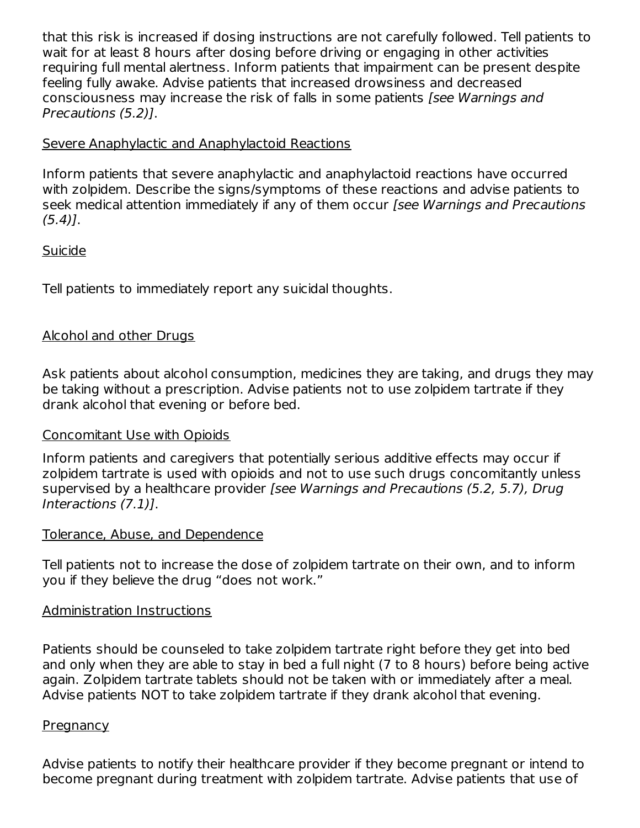that this risk is increased if dosing instructions are not carefully followed. Tell patients to wait for at least 8 hours after dosing before driving or engaging in other activities requiring full mental alertness. Inform patients that impairment can be present despite feeling fully awake. Advise patients that increased drowsiness and decreased consciousness may increase the risk of falls in some patients [see Warnings and Precautions (5.2)].

### Severe Anaphylactic and Anaphylactoid Reactions

Inform patients that severe anaphylactic and anaphylactoid reactions have occurred with zolpidem. Describe the signs/symptoms of these reactions and advise patients to seek medical attention immediately if any of them occur [see Warnings and Precautions  $(5.4)$ .

### Suicide

Tell patients to immediately report any suicidal thoughts.

# Alcohol and other Drugs

Ask patients about alcohol consumption, medicines they are taking, and drugs they may be taking without a prescription. Advise patients not to use zolpidem tartrate if they drank alcohol that evening or before bed.

#### Concomitant Use with Opioids

Inform patients and caregivers that potentially serious additive effects may occur if zolpidem tartrate is used with opioids and not to use such drugs concomitantly unless supervised by a healthcare provider [see Warnings and Precautions (5.2, 5.7), Drug Interactions (7.1)].

#### Tolerance, Abuse, and Dependence

Tell patients not to increase the dose of zolpidem tartrate on their own, and to inform you if they believe the drug "does not work."

#### Administration Instructions

Patients should be counseled to take zolpidem tartrate right before they get into bed and only when they are able to stay in bed a full night (7 to 8 hours) before being active again. Zolpidem tartrate tablets should not be taken with or immediately after a meal. Advise patients NOT to take zolpidem tartrate if they drank alcohol that evening.

#### **Pregnancy**

Advise patients to notify their healthcare provider if they become pregnant or intend to become pregnant during treatment with zolpidem tartrate. Advise patients that use of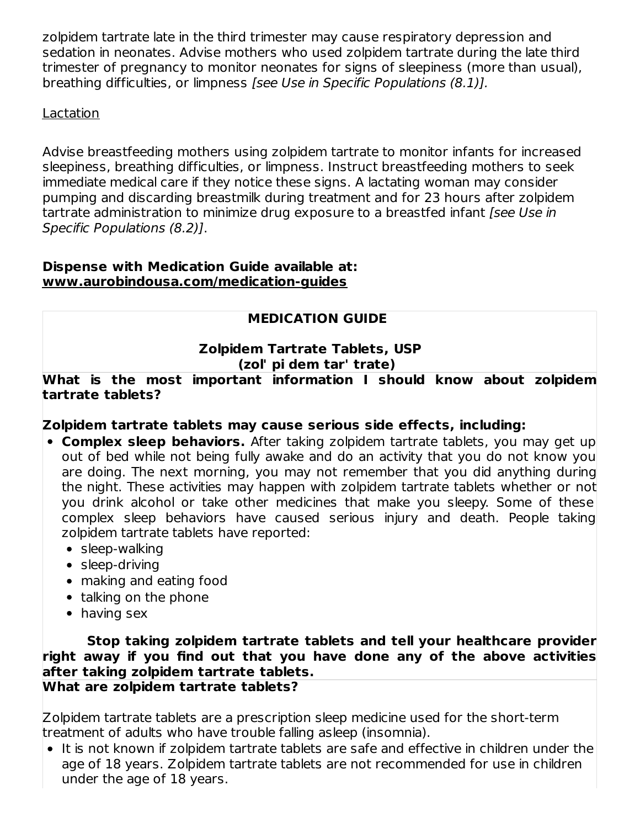zolpidem tartrate late in the third trimester may cause respiratory depression and sedation in neonates. Advise mothers who used zolpidem tartrate during the late third trimester of pregnancy to monitor neonates for signs of sleepiness (more than usual), breathing difficulties, or limpness [see Use in Specific Populations (8.1)].

#### Lactation

Advise breastfeeding mothers using zolpidem tartrate to monitor infants for increased sleepiness, breathing difficulties, or limpness. Instruct breastfeeding mothers to seek immediate medical care if they notice these signs. A lactating woman may consider pumping and discarding breastmilk during treatment and for 23 hours after zolpidem tartrate administration to minimize drug exposure to a breastfed infant *[see Use in* Specific Populations (8.2)].

#### **Dispense with Medication Guide available at: www.aurobindousa.com/medication-guides**

# **MEDICATION GUIDE**

### **Zolpidem Tartrate Tablets, USP (zol' pi dem tar' trate)**

**What is the most important information I should know about zolpidem tartrate tablets?**

# **Zolpidem tartrate tablets may cause serious side effects, including:**

- **Complex sleep behaviors.** After taking zolpidem tartrate tablets, you may get up out of bed while not being fully awake and do an activity that you do not know you are doing. The next morning, you may not remember that you did anything during the night. These activities may happen with zolpidem tartrate tablets whether or not you drink alcohol or take other medicines that make you sleepy. Some of these complex sleep behaviors have caused serious injury and death. People taking zolpidem tartrate tablets have reported:
	- sleep-walking
	- sleep-driving
	- making and eating food
	- talking on the phone
	- having sex

**Stop taking zolpidem tartrate tablets and tell your healthcare provider right away if you find out that you have done any of the above activities after taking zolpidem tartrate tablets. What are zolpidem tartrate tablets?**

Zolpidem tartrate tablets are a prescription sleep medicine used for the short-term treatment of adults who have trouble falling asleep (insomnia).

• It is not known if zolpidem tartrate tablets are safe and effective in children under the age of 18 years. Zolpidem tartrate tablets are not recommended for use in children under the age of 18 years.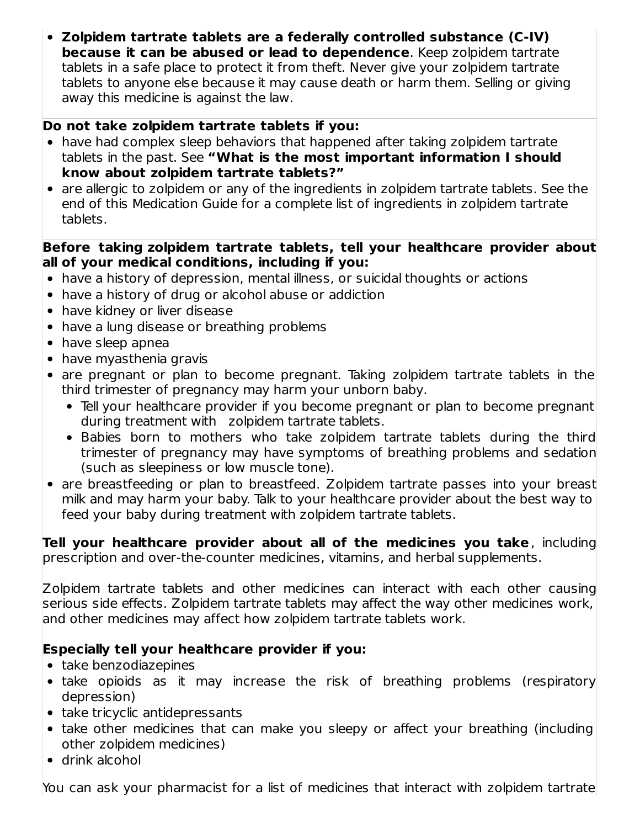**Zolpidem tartrate tablets are a federally controlled substance (C-IV) because it can be abused or lead to dependence**. Keep zolpidem tartrate tablets in a safe place to protect it from theft. Never give your zolpidem tartrate tablets to anyone else because it may cause death or harm them. Selling or giving away this medicine is against the law.

### **Do not take zolpidem tartrate tablets if you:**

- have had complex sleep behaviors that happened after taking zolpidem tartrate tablets in the past. See **"What is the most important information I should know about zolpidem tartrate tablets?"**
- are allergic to zolpidem or any of the ingredients in zolpidem tartrate tablets. See the end of this Medication Guide for a complete list of ingredients in zolpidem tartrate tablets.

#### **Before taking zolpidem tartrate tablets, tell your healthcare provider about all of your medical conditions, including if you:**

- have a history of depression, mental illness, or suicidal thoughts or actions
- have a history of drug or alcohol abuse or addiction
- have kidney or liver disease
- have a lung disease or breathing problems
- have sleep apnea
- have myasthenia gravis
- are pregnant or plan to become pregnant. Taking zolpidem tartrate tablets in the third trimester of pregnancy may harm your unborn baby.
	- Tell your healthcare provider if you become pregnant or plan to become pregnant during treatment with zolpidem tartrate tablets.
	- Babies born to mothers who take zolpidem tartrate tablets during the third trimester of pregnancy may have symptoms of breathing problems and sedation (such as sleepiness or low muscle tone).
- are breastfeeding or plan to breastfeed. Zolpidem tartrate passes into your breast milk and may harm your baby. Talk to your healthcare provider about the best way to feed your baby during treatment with zolpidem tartrate tablets.

**Tell your healthcare provider about all of the medicines you take**, including prescription and over-the-counter medicines, vitamins, and herbal supplements.

Zolpidem tartrate tablets and other medicines can interact with each other causing serious side effects. Zolpidem tartrate tablets may affect the way other medicines work, and other medicines may affect how zolpidem tartrate tablets work.

# **Especially tell your healthcare provider if you:**

- take benzodiazepines
- take opioids as it may increase the risk of breathing problems (respiratory depression)
- take tricyclic antidepressants
- take other medicines that can make you sleepy or affect your breathing (including other zolpidem medicines)
- drink alcohol

You can ask your pharmacist for a list of medicines that interact with zolpidem tartrate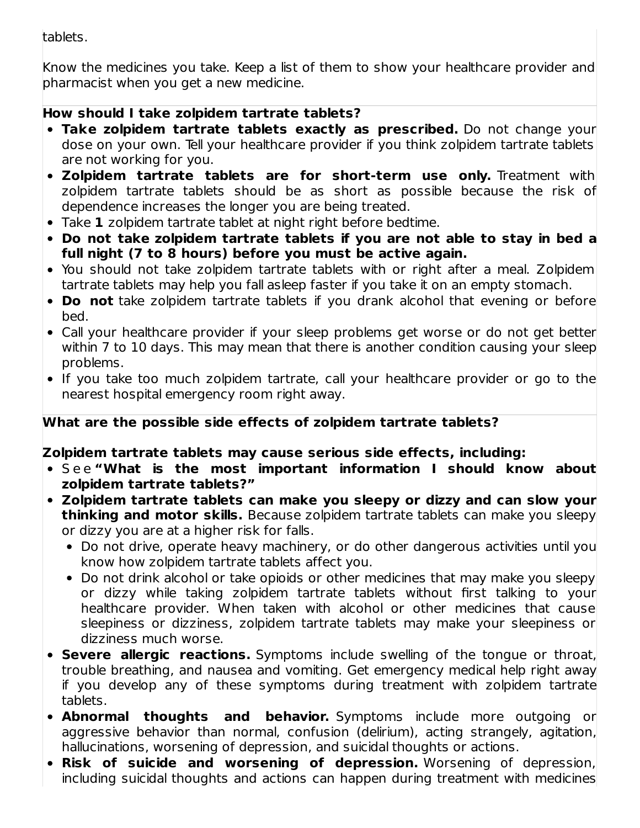tablets.

Know the medicines you take. Keep a list of them to show your healthcare provider and pharmacist when you get a new medicine.

# **How should I take zolpidem tartrate tablets?**

- **Take zolpidem tartrate tablets exactly as prescribed.** Do not change your dose on your own. Tell your healthcare provider if you think zolpidem tartrate tablets are not working for you.
- **Zolpidem tartrate tablets are for short-term use only.** Treatment with zolpidem tartrate tablets should be as short as possible because the risk of dependence increases the longer you are being treated.
- Take **1** zolpidem tartrate tablet at night right before bedtime.
- **Do not take zolpidem tartrate tablets if you are not able to stay in bed a full night (7 to 8 hours) before you must be active again.**
- You should not take zolpidem tartrate tablets with or right after a meal. Zolpidem tartrate tablets may help you fall asleep faster if you take it on an empty stomach.
- **Do not** take zolpidem tartrate tablets if you drank alcohol that evening or before bed.
- Call your healthcare provider if your sleep problems get worse or do not get better within 7 to 10 days. This may mean that there is another condition causing your sleep problems.
- If you take too much zolpidem tartrate, call your healthcare provider or go to the nearest hospital emergency room right away.

# **What are the possible side effects of zolpidem tartrate tablets?**

# **Zolpidem tartrate tablets may cause serious side effects, including:**

- S e e **"What is the most important information I should know about zolpidem tartrate tablets?"**
- **Zolpidem tartrate tablets can make you sleepy or dizzy and can slow your thinking and motor skills.** Because zolpidem tartrate tablets can make you sleepy or dizzy you are at a higher risk for falls.
	- Do not drive, operate heavy machinery, or do other dangerous activities until you know how zolpidem tartrate tablets affect you.
	- Do not drink alcohol or take opioids or other medicines that may make you sleepy or dizzy while taking zolpidem tartrate tablets without first talking to your healthcare provider. When taken with alcohol or other medicines that cause sleepiness or dizziness, zolpidem tartrate tablets may make your sleepiness or dizziness much worse.
- **Severe allergic reactions.** Symptoms include swelling of the tongue or throat, trouble breathing, and nausea and vomiting. Get emergency medical help right away if you develop any of these symptoms during treatment with zolpidem tartrate tablets.
- **Abnormal thoughts and behavior.** Symptoms include more outgoing or aggressive behavior than normal, confusion (delirium), acting strangely, agitation, hallucinations, worsening of depression, and suicidal thoughts or actions.
- **Risk of suicide and worsening of depression.** Worsening of depression, including suicidal thoughts and actions can happen during treatment with medicines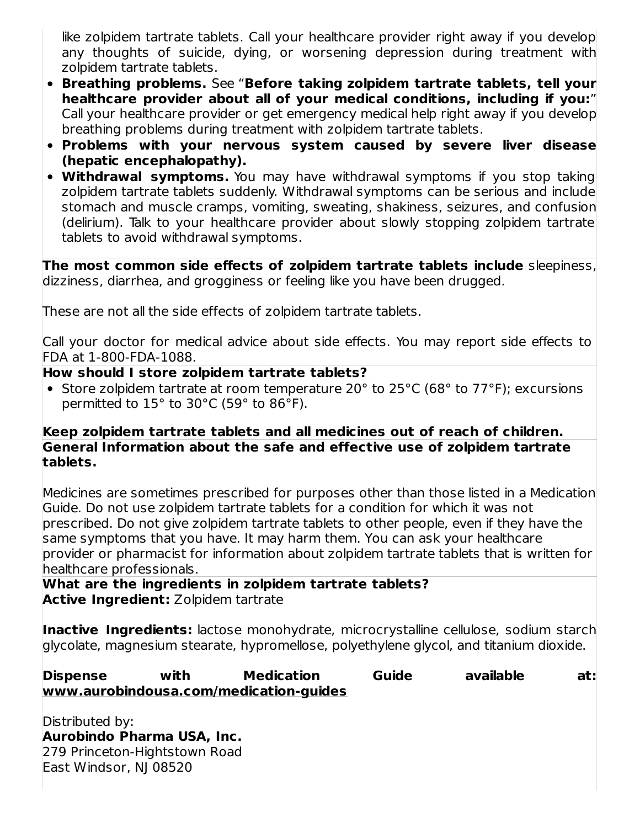like zolpidem tartrate tablets. Call your healthcare provider right away if you develop any thoughts of suicide, dying, or worsening depression during treatment with zolpidem tartrate tablets.

- **Breathing problems.** See "**Before taking zolpidem tartrate tablets, tell your healthcare provider about all of your medical conditions, including if you:**" Call your healthcare provider or get emergency medical help right away if you develop breathing problems during treatment with zolpidem tartrate tablets.
- **Problems with your nervous system caused by severe liver disease (hepatic encephalopathy).**
- **Withdrawal symptoms.** You may have withdrawal symptoms if you stop taking zolpidem tartrate tablets suddenly. Withdrawal symptoms can be serious and include stomach and muscle cramps, vomiting, sweating, shakiness, seizures, and confusion (delirium). Talk to your healthcare provider about slowly stopping zolpidem tartrate tablets to avoid withdrawal symptoms.

**The most common side effects of zolpidem tartrate tablets include** sleepiness, dizziness, diarrhea, and grogginess or feeling like you have been drugged.

These are not all the side effects of zolpidem tartrate tablets.

Call your doctor for medical advice about side effects. You may report side effects to FDA at 1-800-FDA-1088.

### **How should I store zolpidem tartrate tablets?**

Store zolpidem tartrate at room temperature 20° to 25°C (68° to 77°F); excursions permitted to 15° to 30°C (59° to 86°F).

#### **Keep zolpidem tartrate tablets and all medicines out of reach of children. General Information about the safe and effective use of zolpidem tartrate tablets.**

Medicines are sometimes prescribed for purposes other than those listed in a Medication Guide. Do not use zolpidem tartrate tablets for a condition for which it was not prescribed. Do not give zolpidem tartrate tablets to other people, even if they have the same symptoms that you have. It may harm them. You can ask your healthcare provider or pharmacist for information about zolpidem tartrate tablets that is written for healthcare professionals.

**What are the ingredients in zolpidem tartrate tablets? Active Ingredient:** Zolpidem tartrate

**Inactive Ingredients:** lactose monohydrate, microcrystalline cellulose, sodium starch glycolate, magnesium stearate, hypromellose, polyethylene glycol, and titanium dioxide.

### **Dispense with Medication Guide available at: www.aurobindousa.com/medication-guides**

Distributed by: **Aurobindo Pharma USA, Inc.** 279 Princeton-Hightstown Road East Windsor, NJ 08520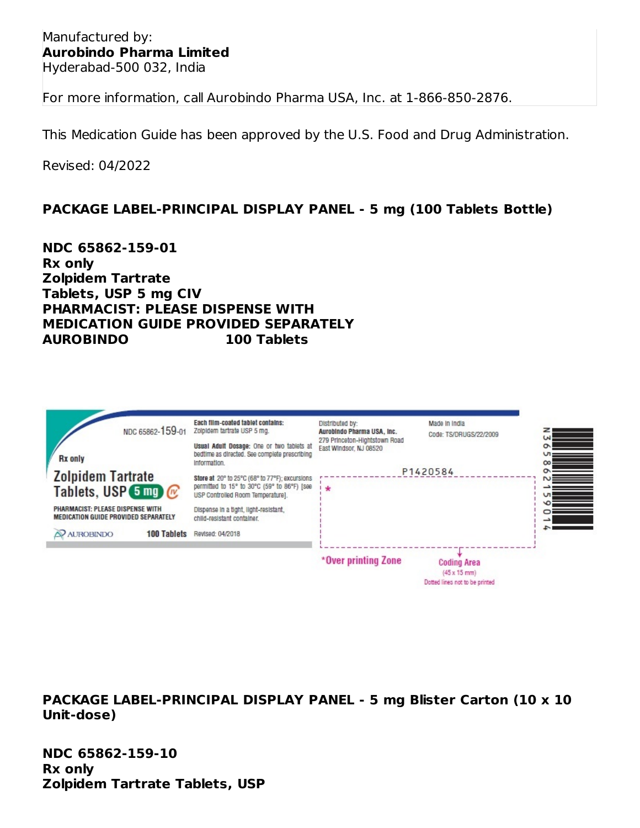Manufactured by: **Aurobindo Pharma Limited** Hyderabad-500 032, India

For more information, call Aurobindo Pharma USA, Inc. at 1-866-850-2876.

This Medication Guide has been approved by the U.S. Food and Drug Administration.

Revised: 04/2022

#### **PACKAGE LABEL-PRINCIPAL DISPLAY PANEL - 5 mg (100 Tablets Bottle)**

**NDC 65862-159-01 Rx only Zolpidem Tartrate Tablets, USP 5 mg CIV PHARMACIST: PLEASE DISPENSE WITH MEDICATION GUIDE PROVIDED SEPARATELY AUROBINDO 100 Tablets**

|                                                                                 | NDC 65862-159-01   | Each film-coated tablet contains:<br>Zolpidem tartrate USP 5 mg.<br>Usual Adult Dosage: One or two tablets at                      | Distributed by:<br>Aurobindo Pharma USA, Inc.<br>279 Princeton-Hightstown Road<br>East Windsor, NJ 08520 | Made in India<br>Code: TS/DRUGS/22/2009                              |
|---------------------------------------------------------------------------------|--------------------|------------------------------------------------------------------------------------------------------------------------------------|----------------------------------------------------------------------------------------------------------|----------------------------------------------------------------------|
| <b>Rx</b> only<br><b>Zolpidem Tartrate</b>                                      |                    | bedtime as directed. See complete prescribing<br>Information.                                                                      |                                                                                                          | P1420584                                                             |
| Tablets, USP $\overline{5}$ mg) $\mathcal{C}$                                   |                    | Store at 20° to 25°C (68° to 77°F); excursions<br>permitted to 15° to 30°C (59° to 86°F) [see<br>USP Controlled Room Temperature]. | ÷                                                                                                        |                                                                      |
| PHARMACIST: PLEASE DISPENSE WITH<br><b>MEDICATION GUIDE PROVIDED SEPARATELY</b> |                    | Dispense in a tight, light-resistant,<br>child-resistant container.                                                                |                                                                                                          |                                                                      |
| <b>AUROBINDO</b>                                                                | <b>100 Tablets</b> | Revised: 04/2018                                                                                                                   |                                                                                                          |                                                                      |
|                                                                                 |                    |                                                                                                                                    | *Over printing Zone                                                                                      | <b>Coding Area</b><br>(45 x 15 mm)<br>Dotted lines not to be printed |

**PACKAGE LABEL-PRINCIPAL DISPLAY PANEL - 5 mg Blister Carton (10 x 10 Unit-dose)**

**NDC 65862-159-10 Rx only Zolpidem Tartrate Tablets, USP**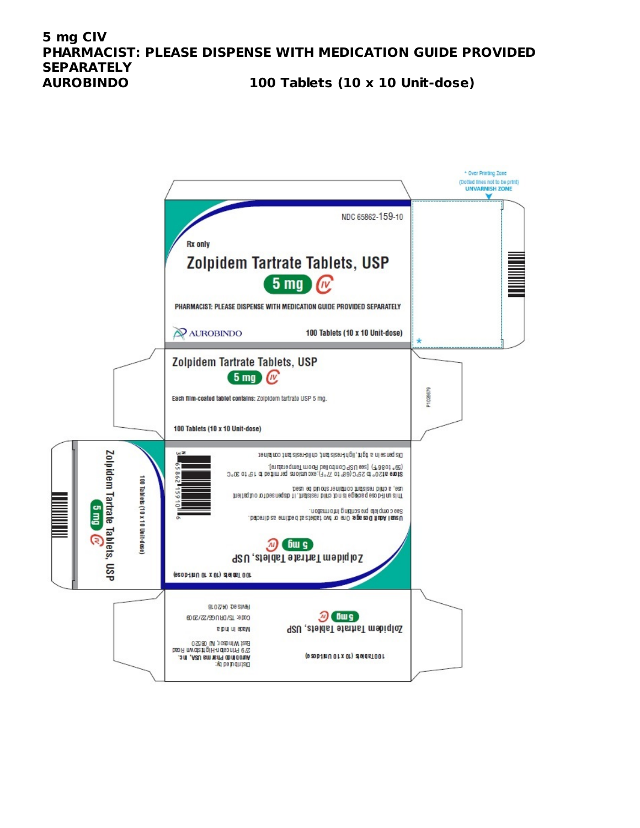#### **5 mg CIV PHARMACIST: PLEASE DISPENSE WITH MEDICATION GUIDE PROVIDED SEPARATELY AUROBINDO 100 Tablets (10 x 10 Unit-dose)**

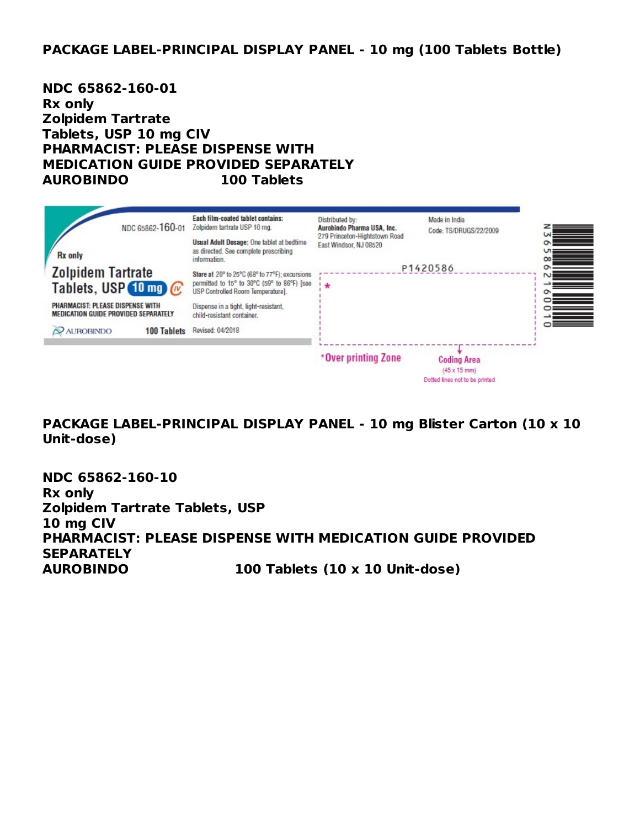#### **PACKAGE LABEL-PRINCIPAL DISPLAY PANEL - 10 mg (100 Tablets Bottle)**

**NDC 65862-160-01 Rx only Zolpidem Tartrate Tablets, USP 10 mg CIV PHARMACIST: PLEASE DISPENSE WITH MEDICATION GUIDE PROVIDED SEPARATELY AUROBINDO 100 Tablets**

|                                                                                 | NDC 65862-160-01   | Each film-coated tablet contains:<br>Zolpidem tartrate USP 10 mg.                                                                  | Distributed by:<br>Aurobindo Pharma USA, Inc.           | Made in India<br>Code: TS/DRUGS/22/2009                                             |
|---------------------------------------------------------------------------------|--------------------|------------------------------------------------------------------------------------------------------------------------------------|---------------------------------------------------------|-------------------------------------------------------------------------------------|
| <b>Rx</b> only                                                                  |                    | Usual Adult Dosage: One tablet at bedtime<br>as directed. See complete prescribing<br>information.                                 | 279 Princeton-Hightstown Road<br>East Windsor, NJ 08520 |                                                                                     |
| <b>Zolpidem Tartrate</b><br>Tablets, USP $(10 \text{ mg})$ $\alpha$             |                    | Store at 20° to 25°C (68° to 77°F); excursions<br>permitted to 15° to 30°C (59° to 86°F) [see<br>USP Controlled Room Temperature]. | $\ast$                                                  | P1420586                                                                            |
| PHARMACIST: PLEASE DISPENSE WITH<br><b>MEDICATION GUIDE PROVIDED SEPARATELY</b> |                    | Dispense in a tight, light-resistant,<br>child-resistant container.                                                                |                                                         |                                                                                     |
| <b>AUROBINDO</b>                                                                | <b>100 Tablets</b> | Revised: 04/2018                                                                                                                   |                                                         |                                                                                     |
|                                                                                 |                    |                                                                                                                                    | *Over printing Zone                                     | <b>Coding Area</b><br>$(45 \times 15 \text{ mm})$<br>Dotted lines not to be printed |

**PACKAGE LABEL-PRINCIPAL DISPLAY PANEL - 10 mg Blister Carton (10 x 10 Unit-dose)**

**NDC 65862-160-10 Rx only Zolpidem Tartrate Tablets, USP 10 mg CIV PHARMACIST: PLEASE DISPENSE WITH MEDICATION GUIDE PROVIDED SEPARATELY AUROBINDO 100 Tablets (10 x 10 Unit-dose)**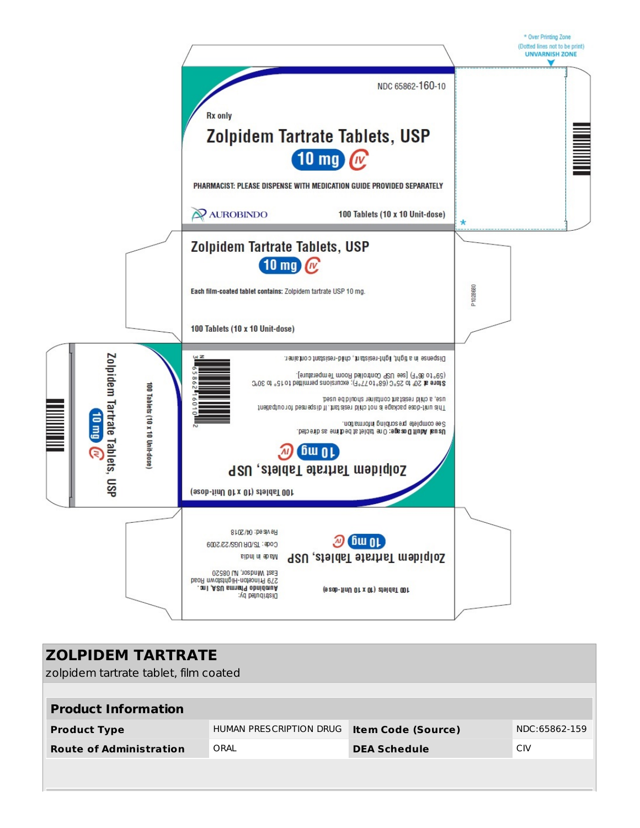

| <b>ZOLPIDEM TARTRATE</b><br>zolpidem tartrate tablet, film coated |                         |                           |               |  |
|-------------------------------------------------------------------|-------------------------|---------------------------|---------------|--|
| <b>Product Information</b>                                        |                         |                           |               |  |
| <b>Product Type</b>                                               | HUMAN PRESCRIPTION DRUG | <b>Item Code (Source)</b> | NDC:65862-159 |  |
| <b>Route of Administration</b>                                    | ORAL                    | <b>DEA Schedule</b>       | CIV           |  |
|                                                                   |                         |                           |               |  |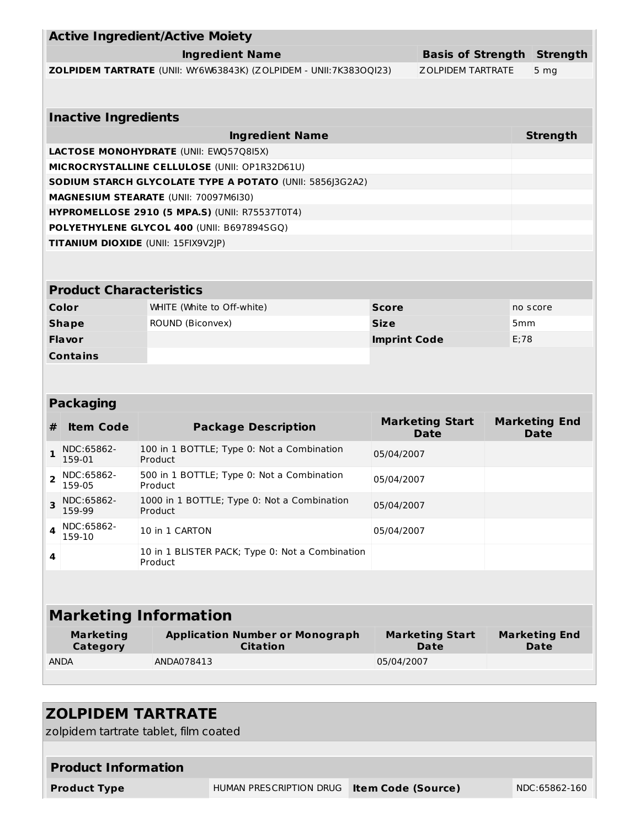|                                                    |                                | <b>Active Ingredient/Active Moiety</b>                |                                                                   |                     |                                       |      |                                     |
|----------------------------------------------------|--------------------------------|-------------------------------------------------------|-------------------------------------------------------------------|---------------------|---------------------------------------|------|-------------------------------------|
| <b>Ingredient Name</b><br><b>Basis of Strength</b> |                                |                                                       |                                                                   |                     |                                       |      | <b>Strength</b>                     |
|                                                    |                                |                                                       | ZOLPIDEM TARTRATE (UNII: WY6W63843K) (ZOLPIDEM - UNII:7K383OQI23) |                     | <b>ZOLPIDEM TARTRATE</b>              |      | 5 <sub>mg</sub>                     |
|                                                    |                                |                                                       |                                                                   |                     |                                       |      |                                     |
|                                                    | <b>Inactive Ingredients</b>    |                                                       |                                                                   |                     |                                       |      |                                     |
|                                                    |                                |                                                       | <b>Ingredient Name</b>                                            |                     |                                       |      | <b>Strength</b>                     |
| <b>LACTOSE MONOHYDRATE (UNII: EWQ57Q8I5X)</b>      |                                |                                                       |                                                                   |                     |                                       |      |                                     |
|                                                    |                                | MICROCRYSTALLINE CELLULOSE (UNII: OP1R32D61U)         |                                                                   |                     |                                       |      |                                     |
|                                                    |                                |                                                       | SODIUM STARCH GLYCOLATE TYPE A POTATO (UNII: 5856J3G2A2)          |                     |                                       |      |                                     |
|                                                    |                                | <b>MAGNESIUM STEARATE (UNII: 70097M6I30)</b>          |                                                                   |                     |                                       |      |                                     |
|                                                    |                                | <b>HYPROMELLOSE 2910 (5 MPA.S) (UNII: R75537T0T4)</b> |                                                                   |                     |                                       |      |                                     |
|                                                    |                                | POLYETHYLENE GLYCOL 400 (UNII: B697894SGQ)            |                                                                   |                     |                                       |      |                                     |
|                                                    |                                | TITANIUM DIOXIDE (UNII: 15FIX9V2JP)                   |                                                                   |                     |                                       |      |                                     |
|                                                    |                                |                                                       |                                                                   |                     |                                       |      |                                     |
|                                                    |                                |                                                       |                                                                   |                     |                                       |      |                                     |
|                                                    | <b>Product Characteristics</b> |                                                       |                                                                   |                     |                                       |      |                                     |
|                                                    | Color                          | WHITE (White to Off-white)                            |                                                                   | <b>Score</b>        |                                       |      | no score                            |
|                                                    | <b>Shape</b>                   | ROUND (Biconvex)                                      |                                                                   | <b>Size</b>         |                                       | 5mm  |                                     |
|                                                    | <b>Flavor</b>                  |                                                       |                                                                   | <b>Imprint Code</b> |                                       | E:78 |                                     |
|                                                    | <b>Contains</b>                |                                                       |                                                                   |                     |                                       |      |                                     |
|                                                    |                                |                                                       |                                                                   |                     |                                       |      |                                     |
|                                                    | <b>Packaging</b>               |                                                       |                                                                   |                     |                                       |      |                                     |
|                                                    |                                |                                                       |                                                                   |                     | <b>Marketing Start</b>                |      | <b>Marketing End</b>                |
| #                                                  | <b>Item Code</b>               |                                                       | <b>Package Description</b>                                        |                     | <b>Date</b>                           |      | <b>Date</b>                         |
| $\mathbf{1}$                                       | NDC:65862-<br>159-01           | Product                                               | 100 in 1 BOTTLE; Type 0: Not a Combination                        | 05/04/2007          |                                       |      |                                     |
| $\overline{2}$                                     | NDC:65862-<br>159-05           | Product                                               | 500 in 1 BOTTLE; Type 0: Not a Combination                        | 05/04/2007          |                                       |      |                                     |
| 3                                                  | NDC:65862-<br>159-99           | Product                                               | 1000 in 1 BOTTLE; Type 0: Not a Combination                       | 05/04/2007          |                                       |      |                                     |
| 4                                                  | NDC:65862-<br>159-10           | 10 in 1 CARTON                                        |                                                                   | 05/04/2007          |                                       |      |                                     |
| 4                                                  |                                | Product                                               | 10 in 1 BLISTER PACK; Type 0: Not a Combination                   |                     |                                       |      |                                     |
|                                                    |                                |                                                       |                                                                   |                     |                                       |      |                                     |
|                                                    |                                |                                                       |                                                                   |                     |                                       |      |                                     |
|                                                    |                                | <b>Marketing Information</b>                          |                                                                   |                     |                                       |      |                                     |
|                                                    | <b>Marketing</b><br>Category   |                                                       | <b>Application Number or Monograph</b><br><b>Citation</b>         |                     | <b>Marketing Start</b><br><b>Date</b> |      | <b>Marketing End</b><br><b>Date</b> |
| <b>ANDA</b>                                        |                                | ANDA078413                                            |                                                                   | 05/04/2007          |                                       |      |                                     |
|                                                    |                                |                                                       |                                                                   |                     |                                       |      |                                     |

| <b>ZOLPIDEM TARTRATE</b>              |                         |                           |               |  |  |
|---------------------------------------|-------------------------|---------------------------|---------------|--|--|
| zolpidem tartrate tablet, film coated |                         |                           |               |  |  |
|                                       |                         |                           |               |  |  |
| <b>Product Information</b>            |                         |                           |               |  |  |
| <b>Product Type</b>                   | HUMAN PRESCRIPTION DRUG | <b>Item Code (Source)</b> | NDC:65862-160 |  |  |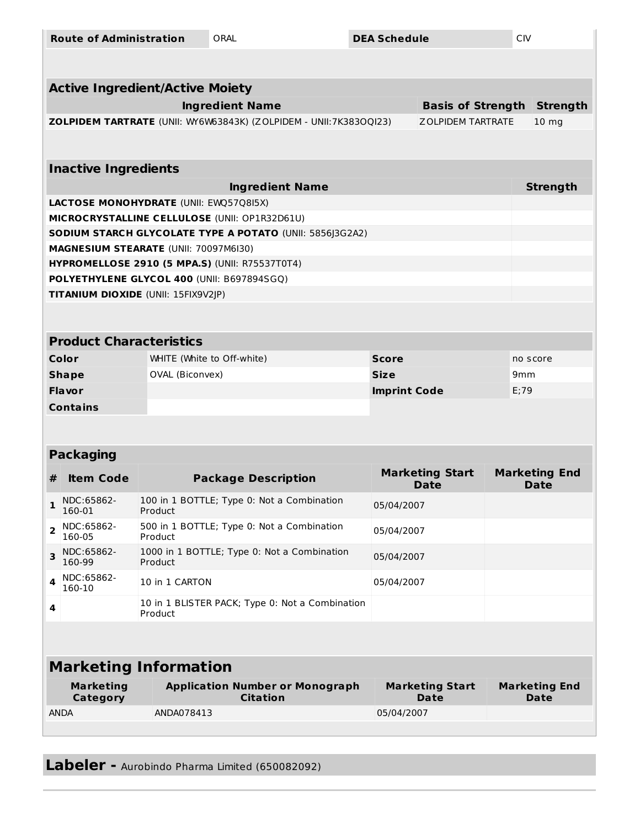| <b>Route of Administration</b>                |                                                            |                                                           | ORAL<br><b>DEA Schedule</b>                                                                         |              |                                       | <b>CIV</b> |                                     |  |  |  |  |  |  |
|-----------------------------------------------|------------------------------------------------------------|-----------------------------------------------------------|-----------------------------------------------------------------------------------------------------|--------------|---------------------------------------|------------|-------------------------------------|--|--|--|--|--|--|
|                                               |                                                            |                                                           |                                                                                                     |              |                                       |            |                                     |  |  |  |  |  |  |
|                                               | <b>Active Ingredient/Active Moiety</b>                     |                                                           |                                                                                                     |              |                                       |            |                                     |  |  |  |  |  |  |
|                                               | <b>Strength</b><br><b>Basis of Strength</b>                |                                                           |                                                                                                     |              |                                       |            |                                     |  |  |  |  |  |  |
|                                               |                                                            |                                                           | ZOLPIDEM TARTRATE (UNII: WY6W63843K) (ZOLPIDEM - UNII:7K383OQI23)                                   |              | <b>ZOLPIDEM TARTRATE</b>              |            | 10 <sub>mg</sub>                    |  |  |  |  |  |  |
|                                               |                                                            |                                                           |                                                                                                     |              |                                       |            |                                     |  |  |  |  |  |  |
|                                               | <b>Inactive Ingredients</b>                                |                                                           |                                                                                                     |              |                                       |            |                                     |  |  |  |  |  |  |
| <b>Strength</b><br><b>Ingredient Name</b>     |                                                            |                                                           |                                                                                                     |              |                                       |            |                                     |  |  |  |  |  |  |
| <b>LACTOSE MONOHYDRATE (UNII: EWQ57Q8I5X)</b> |                                                            |                                                           |                                                                                                     |              |                                       |            |                                     |  |  |  |  |  |  |
|                                               |                                                            |                                                           | MICROCRYSTALLINE CELLULOSE (UNII: OP1R32D61U)                                                       |              |                                       |            |                                     |  |  |  |  |  |  |
|                                               |                                                            |                                                           | SODIUM STARCH GLYCOLATE TYPE A POTATO (UNII: 5856J3G2A2)                                            |              |                                       |            |                                     |  |  |  |  |  |  |
|                                               | MAGNESIUM STEARATE (UNII: 70097M6I30)                      |                                                           |                                                                                                     |              |                                       |            |                                     |  |  |  |  |  |  |
|                                               |                                                            |                                                           | <b>HYPROMELLOSE 2910 (5 MPA.S) (UNII: R75537T0T4)</b><br>POLYETHYLENE GLYCOL 400 (UNII: B697894SGQ) |              |                                       |            |                                     |  |  |  |  |  |  |
|                                               | TITANIUM DIOXIDE (UNII: 15FIX9V2JP)                        |                                                           |                                                                                                     |              |                                       |            |                                     |  |  |  |  |  |  |
|                                               |                                                            |                                                           |                                                                                                     |              |                                       |            |                                     |  |  |  |  |  |  |
|                                               |                                                            |                                                           |                                                                                                     |              |                                       |            |                                     |  |  |  |  |  |  |
|                                               | <b>Product Characteristics</b>                             |                                                           |                                                                                                     |              |                                       |            |                                     |  |  |  |  |  |  |
| Color                                         |                                                            | WHITE (White to Off-white)                                |                                                                                                     | <b>Score</b> |                                       |            | no score                            |  |  |  |  |  |  |
|                                               | <b>Shape</b>                                               | OVAL (Biconvex)                                           |                                                                                                     | <b>Size</b>  |                                       |            | 9 <sub>mm</sub>                     |  |  |  |  |  |  |
|                                               | <b>Flavor</b>                                              |                                                           |                                                                                                     |              | <b>Imprint Code</b>                   |            | E;79                                |  |  |  |  |  |  |
| <b>Contains</b>                               |                                                            |                                                           |                                                                                                     |              |                                       |            |                                     |  |  |  |  |  |  |
|                                               |                                                            |                                                           |                                                                                                     |              |                                       |            |                                     |  |  |  |  |  |  |
|                                               | <b>Packaging</b>                                           |                                                           |                                                                                                     |              |                                       |            |                                     |  |  |  |  |  |  |
| #                                             | <b>Item Code</b>                                           | <b>Package Description</b>                                |                                                                                                     |              | <b>Marketing Start</b><br><b>Date</b> |            | <b>Marketing End</b><br><b>Date</b> |  |  |  |  |  |  |
| $\mathbf{1}$                                  | NDC:65862-<br>160-01                                       | 100 in 1 BOTTLE; Type 0: Not a Combination<br>Product     |                                                                                                     |              | 05/04/2007                            |            |                                     |  |  |  |  |  |  |
| $\overline{2}$                                | NDC:65862-<br>160-05<br>Product                            |                                                           | 500 in 1 BOTTLE; Type 0: Not a Combination                                                          |              | 05/04/2007                            |            |                                     |  |  |  |  |  |  |
| $\overline{\mathbf{3}}$                       | NDC:65862-<br>160-99<br>Product                            |                                                           | 1000 in 1 BOTTLE; Type 0: Not a Combination                                                         |              | 05/04/2007                            |            |                                     |  |  |  |  |  |  |
| 4                                             | NDC:65862-<br>160-10                                       | 10 in 1 CARTON                                            |                                                                                                     |              | 05/04/2007                            |            |                                     |  |  |  |  |  |  |
| 4                                             | 10 in 1 BLISTER PACK; Type 0: Not a Combination<br>Product |                                                           |                                                                                                     |              |                                       |            |                                     |  |  |  |  |  |  |
|                                               |                                                            |                                                           |                                                                                                     |              |                                       |            |                                     |  |  |  |  |  |  |
| <b>Marketing Information</b>                  |                                                            |                                                           |                                                                                                     |              |                                       |            |                                     |  |  |  |  |  |  |
| <b>Marketing</b><br>Category                  |                                                            | <b>Application Number or Monograph</b><br><b>Citation</b> |                                                                                                     |              | <b>Marketing Start</b><br>Date        |            | <b>Marketing End</b><br>Date        |  |  |  |  |  |  |
| <b>ANDA</b>                                   |                                                            | ANDA078413                                                |                                                                                                     | 05/04/2007   |                                       |            |                                     |  |  |  |  |  |  |
|                                               |                                                            |                                                           |                                                                                                     |              |                                       |            |                                     |  |  |  |  |  |  |

**Labeler -** Aurobindo Pharma Limited (650082092)